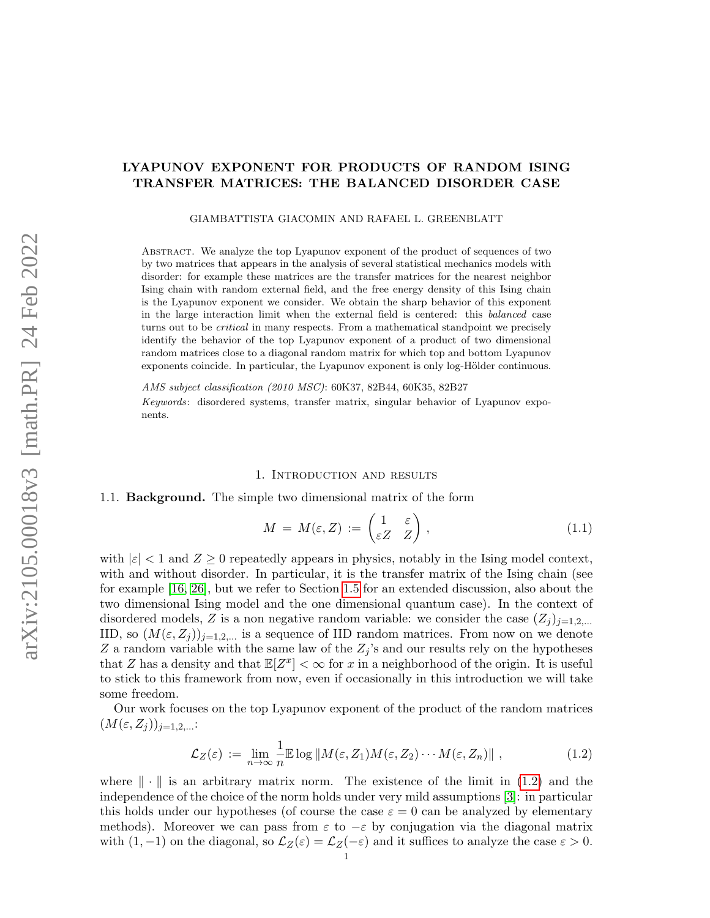# LYAPUNOV EXPONENT FOR PRODUCTS OF RANDOM ISING TRANSFER MATRICES: THE BALANCED DISORDER CASE

GIAMBATTISTA GIACOMIN AND RAFAEL L. GREENBLATT

Abstract. We analyze the top Lyapunov exponent of the product of sequences of two by two matrices that appears in the analysis of several statistical mechanics models with disorder: for example these matrices are the transfer matrices for the nearest neighbor Ising chain with random external field, and the free energy density of this Ising chain is the Lyapunov exponent we consider. We obtain the sharp behavior of this exponent in the large interaction limit when the external field is centered: this balanced case turns out to be critical in many respects. From a mathematical standpoint we precisely identify the behavior of the top Lyapunov exponent of a product of two dimensional random matrices close to a diagonal random matrix for which top and bottom Lyapunov exponents coincide. In particular, the Lyapunov exponent is only log-Hölder continuous.

AMS subject classification (2010 MSC): 60K37, 82B44, 60K35, 82B27 Keywords: disordered systems, transfer matrix, singular behavior of Lyapunov exponents.

### 1. Introduction and results

#### 1.1. Background. The simple two dimensional matrix of the form

<span id="page-0-1"></span>
$$
M = M(\varepsilon, Z) := \begin{pmatrix} 1 & \varepsilon \\ \varepsilon Z & Z \end{pmatrix}, \tag{1.1}
$$

with  $|\varepsilon| < 1$  and  $Z \geq 0$  repeatedly appears in physics, notably in the Ising model context, with and without disorder. In particular, it is the transfer matrix of the Ising chain (see for example [\[16,](#page-27-0) [26\]](#page-28-0), but we refer to Section [1.5](#page-5-0) for an extended discussion, also about the two dimensional Ising model and the one dimensional quantum case). In the context of disordered models, Z is a non negative random variable: we consider the case  $(Z_i)_{i=1,2,\dots}$ IID, so  $(M(\varepsilon, Z_i))_{i=1,2,...}$  is a sequence of IID random matrices. From now on we denote Z a random variable with the same law of the  $Z_j$ 's and our results rely on the hypotheses that Z has a density and that  $\mathbb{E}[Z^x] < \infty$  for x in a neighborhood of the origin. It is useful to stick to this framework from now, even if occasionally in this introduction we will take some freedom.

Our work focuses on the top Lyapunov exponent of the product of the random matrices  $(M(\varepsilon, Z_j))_{j=1,2,\ldots}$ :

<span id="page-0-0"></span>
$$
\mathcal{L}_Z(\varepsilon) := \lim_{n \to \infty} \frac{1}{n} \mathbb{E} \log \| M(\varepsilon, Z_1) M(\varepsilon, Z_2) \cdots M(\varepsilon, Z_n) \|,
$$
\n(1.2)

where  $\|\cdot\|$  is an arbitrary matrix norm. The existence of the limit in [\(1.2\)](#page-0-0) and the independence of the choice of the norm holds under very mild assumptions [\[3\]](#page-27-1): in particular this holds under our hypotheses (of course the case  $\varepsilon = 0$  can be analyzed by elementary methods). Moreover we can pass from  $\varepsilon$  to  $-\varepsilon$  by conjugation via the diagonal matrix with  $(1, -1)$  on the diagonal, so  $\mathcal{L}_Z(\varepsilon) = \mathcal{L}_Z(-\varepsilon)$  and it suffices to analyze the case  $\varepsilon > 0$ .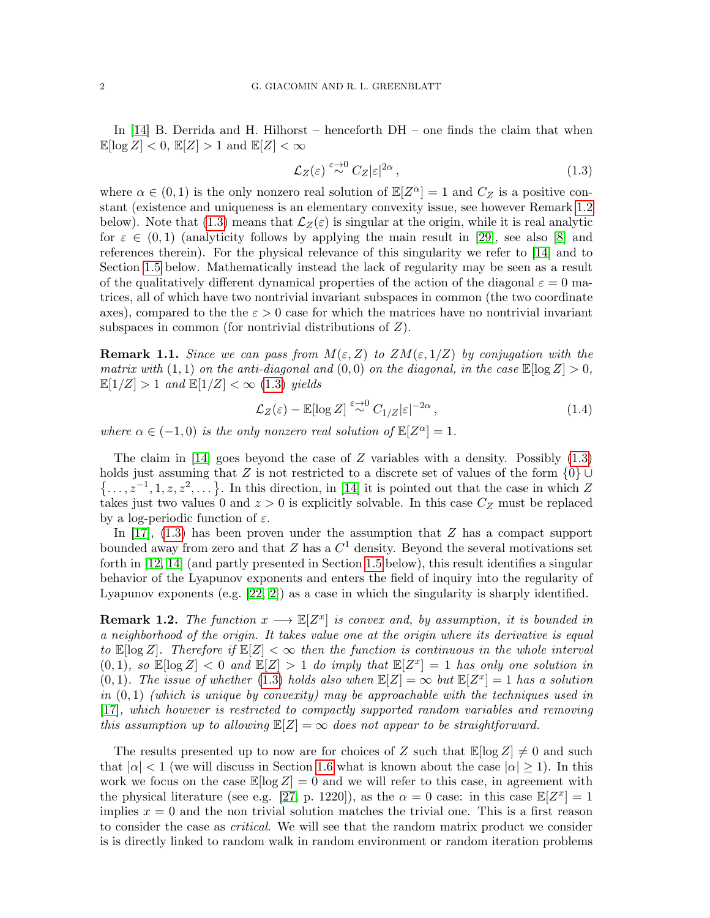In [\[14\]](#page-27-2) B. Derrida and H. Hilhorst – henceforth DH – one finds the claim that when  $\mathbb{E}[\log Z] < 0$ ,  $\mathbb{E}[Z] > 1$  and  $\mathbb{E}[Z] < \infty$ 

<span id="page-1-1"></span>
$$
\mathcal{L}_Z(\varepsilon) \stackrel{\varepsilon \to 0}{\sim} C_Z |\varepsilon|^{2\alpha},\tag{1.3}
$$

where  $\alpha \in (0,1)$  is the only nonzero real solution of  $\mathbb{E}[Z^{\alpha}] = 1$  and  $C_Z$  is a positive constant (existence and uniqueness is an elementary convexity issue, see however Remark [1.2](#page-1-0) below). Note that [\(1.3\)](#page-1-1) means that  $\mathcal{L}_Z(\varepsilon)$  is singular at the origin, while it is real analytic for  $\varepsilon \in (0,1)$  (analyticity follows by applying the main result in [\[29\]](#page-28-1), see also [\[8\]](#page-27-3) and references therein). For the physical relevance of this singularity we refer to [\[14\]](#page-27-2) and to Section [1.5](#page-5-0) below. Mathematically instead the lack of regularity may be seen as a result of the qualitatively different dynamical properties of the action of the diagonal  $\varepsilon = 0$  matrices, all of which have two nontrivial invariant subspaces in common (the two coordinate axes), compared to the the  $\varepsilon > 0$  case for which the matrices have no nontrivial invariant subspaces in common (for nontrivial distributions of Z).

**Remark 1.1.** Since we can pass from  $M(\varepsilon, Z)$  to  $ZM(\varepsilon, 1/Z)$  by conjugation with the matrix with  $(1,1)$  on the anti-diagonal and  $(0,0)$  on the diagonal, in the case  $\mathbb{E}[\log Z] > 0$ ,  $\mathbb{E}[1/Z] > 1$  and  $\mathbb{E}[1/Z] < \infty$  [\(1.3\)](#page-1-1) yields

$$
\mathcal{L}_Z(\varepsilon) - \mathbb{E}[\log Z] \stackrel{\varepsilon \to 0}{\sim} C_{1/Z} |\varepsilon|^{-2\alpha},\tag{1.4}
$$

where  $\alpha \in (-1,0)$  is the only nonzero real solution of  $\mathbb{E}[Z^{\alpha}] = 1$ .

The claim in [\[14\]](#page-27-2) goes beyond the case of  $Z$  variables with a density. Possibly  $(1.3)$ holds just assuming that Z is not restricted to a discrete set of values of the form  $\{0\} \cup$  $\{\ldots, z^{-1}, 1, z, z^2, \ldots\}$ . In this direction, in [\[14\]](#page-27-2) it is pointed out that the case in which Z takes just two values 0 and  $z > 0$  is explicitly solvable. In this case  $C_Z$  must be replaced by a log-periodic function of  $\varepsilon$ .

In [\[17\]](#page-27-4), [\(1.3\)](#page-1-1) has been proven under the assumption that Z has a compact support bounded away from zero and that  $Z$  has a  $C<sup>1</sup>$  density. Beyond the several motivations set forth in [\[12,](#page-27-5) [14\]](#page-27-2) (and partly presented in Section [1.5](#page-5-0) below), this result identifies a singular behavior of the Lyapunov exponents and enters the field of inquiry into the regularity of Lyapunov exponents (e.g. [\[22,](#page-28-2) [2\]](#page-27-6)) as a case in which the singularity is sharply identified.

<span id="page-1-0"></span>**Remark 1.2.** The function  $x \rightarrow \mathbb{E}[Z^x]$  is convex and, by assumption, it is bounded in a neighborhood of the origin. It takes value one at the origin where its derivative is equal to  $\mathbb{E}[\log Z]$ . Therefore if  $\mathbb{E}[Z] < \infty$  then the function is continuous in the whole interval  $(0,1)$ , so  $\mathbb{E}[\log Z] < 0$  and  $\mathbb{E}[Z] > 1$  do imply that  $\mathbb{E}[Z^x] = 1$  has only one solution in (0,1). The issue of whether [\(1.3\)](#page-1-1) holds also when  $\mathbb{E}[Z] = \infty$  but  $\mathbb{E}[Z^x] = 1$  has a solution in  $(0, 1)$  (which is unique by convexity) may be approachable with the techniques used in [\[17\]](#page-27-4), which however is restricted to compactly supported random variables and removing this assumption up to allowing  $\mathbb{E}[Z] = \infty$  does not appear to be straightforward.

The results presented up to now are for choices of Z such that  $\mathbb{E}[\log Z] \neq 0$  and such that  $|\alpha| < 1$  (we will discuss in Section [1.6](#page-7-0) what is known about the case  $|\alpha| \ge 1$ ). In this work we focus on the case  $\mathbb{E}[\log Z] = 0$  and we will refer to this case, in agreement with the physical literature (see e.g. [\[27,](#page-28-3) p. 1220]), as the  $\alpha = 0$  case: in this case  $\mathbb{E}[Z^x] = 1$ implies  $x = 0$  and the non trivial solution matches the trivial one. This is a first reason to consider the case as critical. We will see that the random matrix product we consider is is directly linked to random walk in random environment or random iteration problems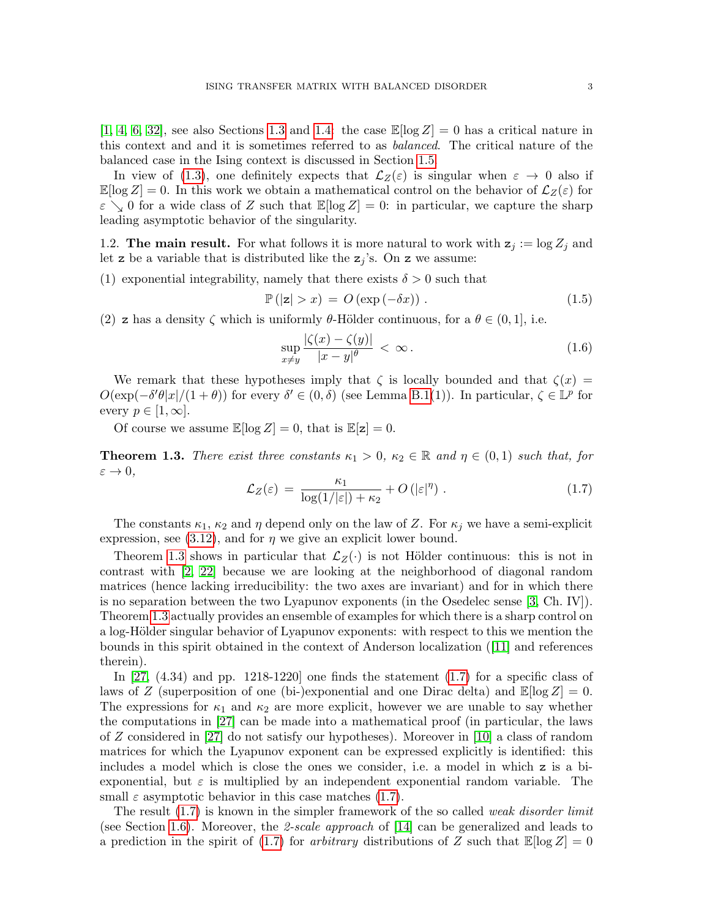$[1, 4, 6, 32]$  $[1, 4, 6, 32]$  $[1, 4, 6, 32]$  $[1, 4, 6, 32]$ , see also Sections [1.3](#page-3-0) and [1.4:](#page-3-1) the case  $\mathbb{E}[\log Z] = 0$  has a critical nature in this context and and it is sometimes referred to as balanced. The critical nature of the balanced case in the Ising context is discussed in Section [1.5.](#page-5-0)

In view of [\(1.3\)](#page-1-1), one definitely expects that  $\mathcal{L}_Z(\varepsilon)$  is singular when  $\varepsilon \to 0$  also if  $\mathbb{E}[\log Z] = 0$ . In this work we obtain a mathematical control on the behavior of  $\mathcal{L}_Z(\varepsilon)$  for  $\varepsilon \searrow 0$  for a wide class of Z such that  $\mathbb{E}[\log Z] = 0$ : in particular, we capture the sharp leading asymptotic behavior of the singularity.

1.2. The main result. For what follows it is more natural to work with  $z_j := \log Z_j$  and let z be a variable that is distributed like the  $z_j$ 's. On z we assume:

(1) exponential integrability, namely that there exists  $\delta > 0$  such that

<span id="page-2-3"></span>
$$
\mathbb{P}(|z| > x) = O(\exp(-\delta x)).\tag{1.5}
$$

(2) z has a density  $\zeta$  which is uniformly  $\theta$ -Hölder continuous, for a  $\theta \in (0,1]$ , i.e.

<span id="page-2-2"></span>
$$
\sup_{x \neq y} \frac{|\zeta(x) - \zeta(y)|}{|x - y|^{\theta}} < \infty. \tag{1.6}
$$

We remark that these hypotheses imply that  $\zeta$  is locally bounded and that  $\zeta(x)$  =  $O(\exp(-\delta'\theta|x|/(1+\theta))$  for every  $\delta' \in (0,\delta)$  (see Lemma [B.1\(](#page-26-0)1)). In particular,  $\zeta \in \mathbb{L}^p$  for every  $p \in [1,\infty]$ .

Of course we assume  $\mathbb{E}[\log Z] = 0$ , that is  $\mathbb{E}[z] = 0$ .

<span id="page-2-0"></span>**Theorem 1.3.** There exist three constants  $\kappa_1 > 0$ ,  $\kappa_2 \in \mathbb{R}$  and  $\eta \in (0,1)$  such that, for  $\varepsilon \to 0$ ,

<span id="page-2-1"></span>
$$
\mathcal{L}_Z(\varepsilon) = \frac{\kappa_1}{\log(1/|\varepsilon|) + \kappa_2} + O(|\varepsilon|^\eta) \,. \tag{1.7}
$$

The constants  $\kappa_1$ ,  $\kappa_2$  and  $\eta$  depend only on the law of Z. For  $\kappa_i$  we have a semi-explicit expression, see [\(3.12\)](#page-16-0), and for  $\eta$  we give an explicit lower bound.

Theorem [1.3](#page-2-0) shows in particular that  $\mathcal{L}_Z(\cdot)$  is not Hölder continuous: this is not in contrast with [\[2,](#page-27-6) [22\]](#page-28-2) because we are looking at the neighborhood of diagonal random matrices (hence lacking irreducibility: the two axes are invariant) and for in which there is no separation between the two Lyapunov exponents (in the Osedelec sense [\[3,](#page-27-1) Ch. IV]). Theorem [1.3](#page-2-0) actually provides an ensemble of examples for which there is a sharp control on a log-Hölder singular behavior of Lyapunov exponents: with respect to this we mention the bounds in this spirit obtained in the context of Anderson localization([\[11\]](#page-27-10) and references therein).

In  $[27, (4.34)$  and pp. 1218-1220 one finds the statement  $(1.7)$  for a specific class of laws of Z (superposition of one (bi-)exponential and one Dirac delta) and  $\mathbb{E}[\log Z] = 0$ . The expressions for  $\kappa_1$  and  $\kappa_2$  are more explicit, however we are unable to say whether the computations in [\[27\]](#page-28-3) can be made into a mathematical proof (in particular, the laws of Z considered in [\[27\]](#page-28-3) do not satisfy our hypotheses). Moreover in [\[10\]](#page-27-11) a class of random matrices for which the Lyapunov exponent can be expressed explicitly is identified: this includes a model which is close the ones we consider, i.e. a model in which z is a biexponential, but  $\varepsilon$  is multiplied by an independent exponential random variable. The small  $\varepsilon$  asymptotic behavior in this case matches [\(1.7\)](#page-2-1).

The result  $(1.7)$  is known in the simpler framework of the so called *weak disorder limit* (see Section [1.6\)](#page-7-0). Moreover, the 2-scale approach of [\[14\]](#page-27-2) can be generalized and leads to a prediction in the spirit of [\(1.7\)](#page-2-1) for *arbitrary* distributions of Z such that  $\mathbb{E}[\log Z] = 0$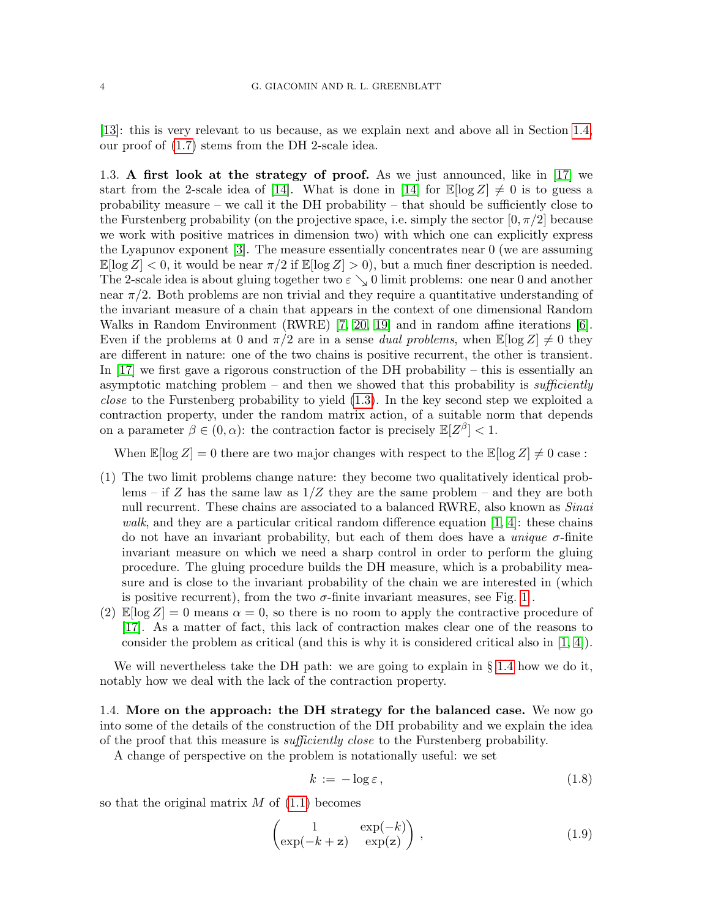[\[13\]](#page-27-12): this is very relevant to us because, as we explain next and above all in Section [1.4,](#page-3-1) our proof of [\(1.7\)](#page-2-1) stems from the DH 2-scale idea.

<span id="page-3-0"></span>1.3. A first look at the strategy of proof. As we just announced, like in [\[17\]](#page-27-4) we start from the 2-scale idea of [\[14\]](#page-27-2). What is done in [14] for  $\mathbb{E}[\log Z] \neq 0$  is to guess a probability measure – we call it the DH probability – that should be sufficiently close to the Furstenberg probability (on the projective space, i.e. simply the sector  $[0, \pi/2]$  because we work with positive matrices in dimension two) with which one can explicitly express the Lyapunov exponent [\[3\]](#page-27-1). The measure essentially concentrates near 0 (we are assuming  $\mathbb{E}[\log Z] < 0$ , it would be near  $\pi/2$  if  $\mathbb{E}[\log Z] > 0$ , but a much finer description is needed. The 2-scale idea is about gluing together two  $\varepsilon \searrow 0$  limit problems: one near 0 and another near  $\pi/2$ . Both problems are non trivial and they require a quantitative understanding of the invariant measure of a chain that appears in the context of one dimensional Random Walks in Random Environment (RWRE) [\[7,](#page-27-13) [20,](#page-28-5) [19\]](#page-28-6) and in random affine iterations [\[6\]](#page-27-9). Even if the problems at 0 and  $\pi/2$  are in a sense *dual problems*, when  $\mathbb{E}[\log Z] \neq 0$  they are different in nature: one of the two chains is positive recurrent, the other is transient. In [\[17\]](#page-27-4) we first gave a rigorous construction of the DH probability – this is essentially an asymptotic matching problem – and then we showed that this probability is sufficiently close to the Furstenberg probability to yield [\(1.3\)](#page-1-1). In the key second step we exploited a contraction property, under the random matrix action, of a suitable norm that depends on a parameter  $\beta \in (0, \alpha)$ : the contraction factor is precisely  $\mathbb{E}[Z^{\beta}] < 1$ .

When  $\mathbb{E}[\log Z] = 0$  there are two major changes with respect to the  $\mathbb{E}[\log Z] \neq 0$  case:

- (1) The two limit problems change nature: they become two qualitatively identical problems – if Z has the same law as  $1/Z$  they are the same problem – and they are both null recurrent. These chains are associated to a balanced RWRE, also known as *Sinai* walk, and they are a particular critical random difference equation  $[1, 4]$  $[1, 4]$ : these chains do not have an invariant probability, but each of them does have a *unique*  $\sigma$ -finite invariant measure on which we need a sharp control in order to perform the gluing procedure. The gluing procedure builds the DH measure, which is a probability measure and is close to the invariant probability of the chain we are interested in (which is positive recurrent), from the two  $\sigma$ -finite invariant measures, see Fig. [1](#page-5-1).
- $(2)$   $\mathbb{E}[\log Z] = 0$  means  $\alpha = 0$ , so there is no room to apply the contractive procedure of [\[17\]](#page-27-4). As a matter of fact, this lack of contraction makes clear one of the reasons to consider the problem as critical (and this is why it is considered critical also in [\[1,](#page-27-7) [4\]](#page-27-8)).

We will nevertheless take the DH path: we are going to explain in  $\S 1.4$  $\S 1.4$  how we do it, notably how we deal with the lack of the contraction property.

<span id="page-3-1"></span>1.4. More on the approach: the DH strategy for the balanced case. We now go into some of the details of the construction of the DH probability and we explain the idea of the proof that this measure is sufficiently close to the Furstenberg probability.

A change of perspective on the problem is notationally useful: we set

$$
k := -\log \varepsilon, \tag{1.8}
$$

so that the original matrix  $M$  of  $(1.1)$  becomes

<span id="page-3-2"></span>
$$
\begin{pmatrix} 1 & \exp(-k) \\ \exp(-k+z) & \exp(z) \end{pmatrix}, \tag{1.9}
$$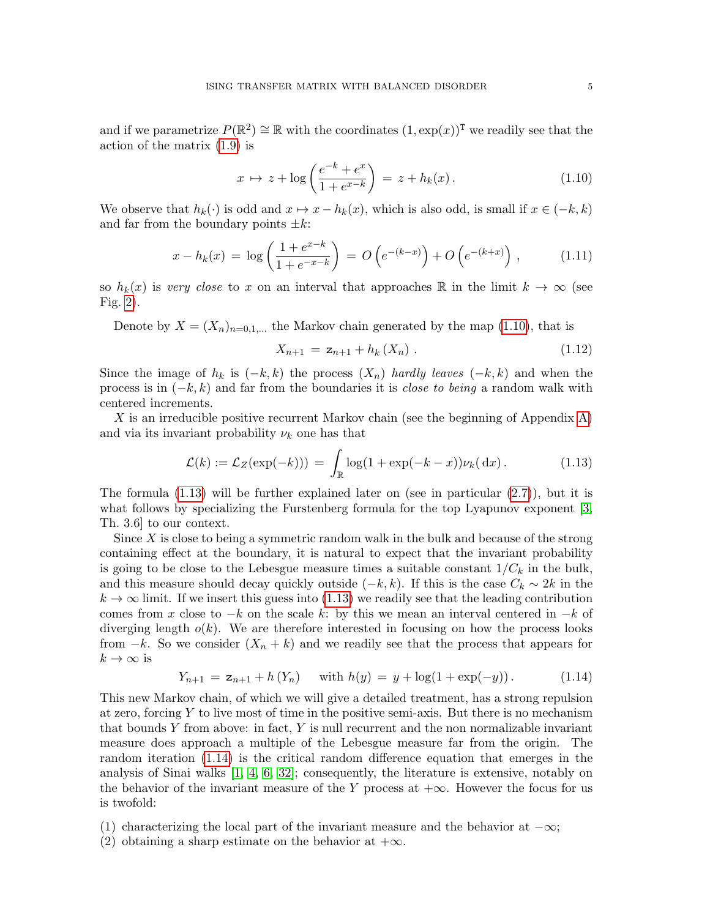and if we parametrize  $P(\mathbb{R}^2) \cong \mathbb{R}$  with the coordinates  $(1, \exp(x))^T$  we readily see that the action of the matrix [\(1.9\)](#page-3-2) is

<span id="page-4-0"></span>
$$
x \mapsto z + \log \left( \frac{e^{-k} + e^x}{1 + e^{x - k}} \right) = z + h_k(x).
$$
 (1.10)

We observe that  $h_k(\cdot)$  is odd and  $x \mapsto x - h_k(x)$ , which is also odd, is small if  $x \in (-k, k)$ and far from the boundary points  $\pm k$ :

<span id="page-4-4"></span>
$$
x - h_k(x) = \log\left(\frac{1 + e^{x - k}}{1 + e^{-x - k}}\right) = O\left(e^{-(k - x)}\right) + O\left(e^{-(k + x)}\right),\tag{1.11}
$$

so  $h_k(x)$  is very close to x on an interval that approaches R in the limit  $k \to \infty$  (see Fig. [2\)](#page-10-0).

Denote by  $X = (X_n)_{n=0,1,...}$  the Markov chain generated by the map [\(1.10\)](#page-4-0), that is

<span id="page-4-3"></span>
$$
X_{n+1} = \mathbf{z}_{n+1} + h_k(X_n) \tag{1.12}
$$

Since the image of  $h_k$  is  $(-k, k)$  the process  $(X_n)$  hardly leaves  $(-k, k)$  and when the process is in  $(-k, k)$  and far from the boundaries it is *close to being* a random walk with centered increments.

X is an irreducible positive recurrent Markov chain (see the beginning of Appendix [A\)](#page-24-0) and via its invariant probability  $\nu_k$  one has that

<span id="page-4-1"></span>
$$
\mathcal{L}(k) := \mathcal{L}_Z(\exp(-k))) = \int_{\mathbb{R}} \log(1 + \exp(-k - x)) \nu_k(dx).
$$
 (1.13)

The formula  $(1.13)$  will be further explained later on (see in particular  $(2.7)$ ), but it is what follows by specializing the Furstenberg formula for the top Lyapunov exponent [\[3,](#page-27-1) Th. 3.6] to our context.

Since  $X$  is close to being a symmetric random walk in the bulk and because of the strong containing effect at the boundary, it is natural to expect that the invariant probability is going to be close to the Lebesgue measure times a suitable constant  $1/C_k$  in the bulk, and this measure should decay quickly outside  $(-k, k)$ . If this is the case  $C_k \sim 2k$  in the  $k \to \infty$  limit. If we insert this guess into [\(1.13\)](#page-4-1) we readily see that the leading contribution comes from x close to  $-k$  on the scale k: by this we mean an interval centered in  $-k$  of diverging length  $o(k)$ . We are therefore interested in focusing on how the process looks from  $-k$ . So we consider  $(X_n + k)$  and we readily see that the process that appears for  $k \to \infty$  is

<span id="page-4-2"></span>
$$
Y_{n+1} = \mathbf{z}_{n+1} + h(Y_n) \quad \text{with } h(y) = y + \log(1 + \exp(-y)). \tag{1.14}
$$

This new Markov chain, of which we will give a detailed treatment, has a strong repulsion at zero, forcing  $Y$  to live most of time in the positive semi-axis. But there is no mechanism that bounds  $Y$  from above: in fact,  $Y$  is null recurrent and the non normalizable invariant measure does approach a multiple of the Lebesgue measure far from the origin. The random iteration [\(1.14\)](#page-4-2) is the critical random difference equation that emerges in the analysis of Sinai walks [\[1,](#page-27-7) [4,](#page-27-8) [6,](#page-27-9) [32\]](#page-28-4); consequently, the literature is extensive, notably on the behavior of the invariant measure of the Y process at  $+\infty$ . However the focus for us is twofold:

- (1) characterizing the local part of the invariant measure and the behavior at  $-\infty$ ;
- (2) obtaining a sharp estimate on the behavior at  $+\infty$ .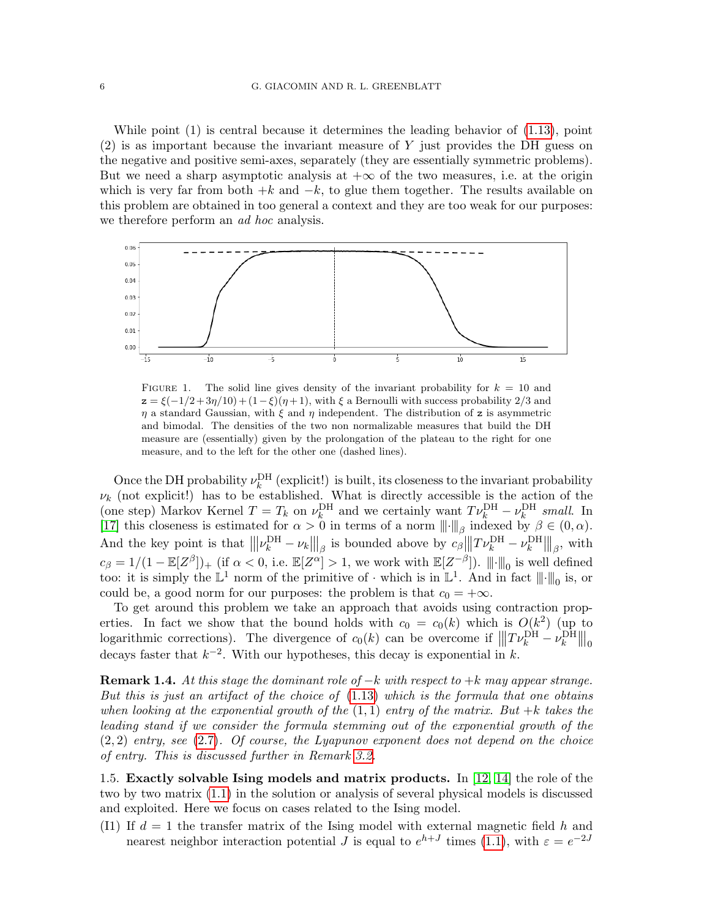While point (1) is central because it determines the leading behavior of [\(1.13\)](#page-4-1), point (2) is as important because the invariant measure of Y just provides the DH guess on the negative and positive semi-axes, separately (they are essentially symmetric problems). But we need a sharp asymptotic analysis at  $+\infty$  of the two measures, i.e. at the origin which is very far from both  $+k$  and  $-k$ , to glue them together. The results available on this problem are obtained in too general a context and they are too weak for our purposes: we therefore perform an *ad hoc* analysis.



<span id="page-5-1"></span>FIGURE 1. The solid line gives density of the invariant probability for  $k = 10$  and  $z = \xi(-1/2 + 3\eta/10) + (1-\xi)(\eta+1)$ , with  $\xi$  a Bernoulli with success probability 2/3 and  $\eta$  a standard Gaussian, with  $\xi$  and  $\eta$  independent. The distribution of z is asymmetric and bimodal. The densities of the two non normalizable measures that build the DH measure are (essentially) given by the prolongation of the plateau to the right for one measure, and to the left for the other one (dashed lines).

Once the DH probability  $\nu_k^{\text{DH}}$  (explicit!) is built, its closeness to the invariant probability  $\nu_k$  (not explicit!) has to be established. What is directly accessible is the action of the (one step) Markov Kernel  $T = T_k$  on  $\nu_k^{\text{DH}}$  and we certainly want  $T\nu_k^{\text{DH}} - \nu_k^{\text{DH}}$  small. In [\[17\]](#page-27-4) this closeness is estimated for  $\alpha > 0$  in terms of a norm  $\|\cdot\|_{\beta}$  indexed by  $\beta \in (0, \alpha)$ . And the key point is that  $\left\| |\nu_k^{\text{DH}} - \nu_k||_{\beta}$  is bounded above by  $c_{\beta}$   $\left\| |T\nu_k^{\text{DH}} - \nu_k^{\text{DH}} \right\|_{\beta}$ , with  $c_{\beta} = 1/(1 - \mathbb{E}[Z^{\beta}])_{+}$  (if  $\alpha < 0$ , i.e.  $\mathbb{E}[Z^{\alpha}] > 1$ , we work with  $\mathbb{E}[Z^{-\beta}]$ ).  $\|\cdot\|_{0}$  is well defined too: it is simply the  $\mathbb{L}^1$  norm of the primitive of  $\cdot$  which is in  $\mathbb{L}^1$ . And in fact  $\|\cdot\|_0$  is, or could be, a good norm for our purposes: the problem is that  $c_0 = +\infty$ .

To get around this problem we take an approach that avoids using contraction properties. In fact we show that the bound holds with  $c_0 = c_0(k)$  which is  $O(k^2)$  (up to logarithmic corrections). The divergence of  $c_0(k)$  can be overcome if  $|||T\nu_k^{\text{DH}} - \nu_k^{\text{DH}}|||_0$ decays faster that  $k^{-2}$ . With our hypotheses, this decay is exponential in k.

**Remark 1.4.** At this stage the dominant role of  $-k$  with respect to  $+k$  may appear strange. But this is just an artifact of the choice of  $(1.13)$  which is the formula that one obtains when looking at the exponential growth of the  $(1, 1)$  entry of the matrix. But +k takes the leading stand if we consider the formula stemming out of the exponential growth of the  $(2, 2)$  entry, see  $(2.7)$ . Of course, the Lyapunov exponent does not depend on the choice of entry. This is discussed further in Remark [3.2.](#page-16-1)

<span id="page-5-0"></span>1.5. Exactly solvable Ising models and matrix products. In [\[12,](#page-27-5) [14\]](#page-27-2) the role of the two by two matrix [\(1.1\)](#page-0-1) in the solution or analysis of several physical models is discussed and exploited. Here we focus on cases related to the Ising model.

<span id="page-5-2"></span>(I1) If  $d = 1$  the transfer matrix of the Ising model with external magnetic field h and nearest neighbor interaction potential *J* is equal to  $e^{h+J}$  times [\(1.1\)](#page-0-1), with  $\varepsilon = e^{-2J}$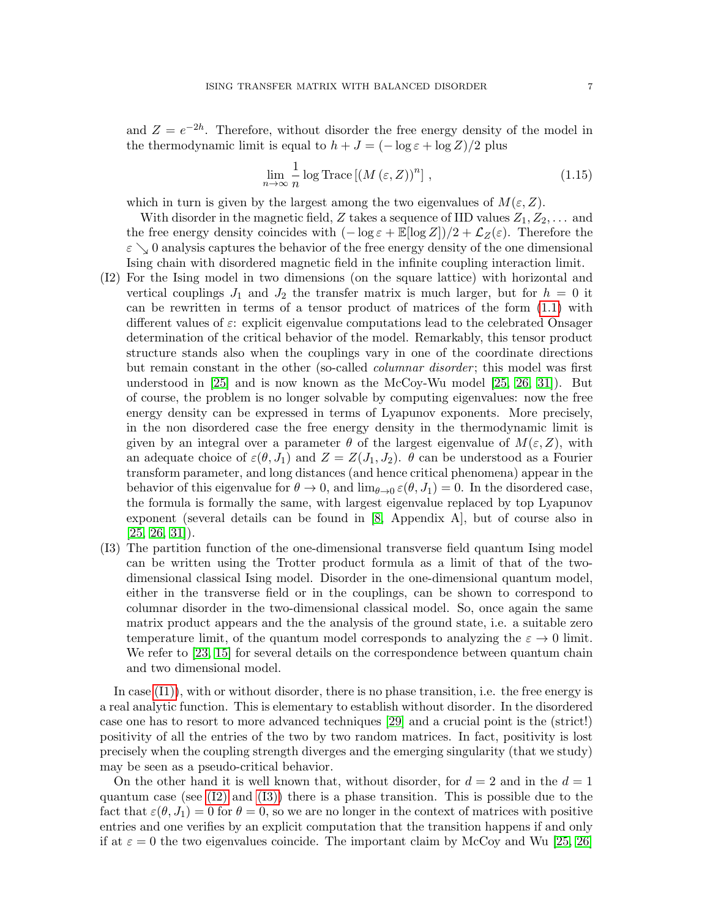and  $Z = e^{-2h}$ . Therefore, without disorder the free energy density of the model in the thermodynamic limit is equal to  $h + J = (-\log \varepsilon + \log Z)/2$  plus

$$
\lim_{n \to \infty} \frac{1}{n} \log \text{Trace} \left[ \left( M \left( \varepsilon, Z \right) \right)^n \right], \tag{1.15}
$$

which in turn is given by the largest among the two eigenvalues of  $M(\varepsilon, Z)$ .

With disorder in the magnetic field, Z takes a sequence of IID values  $Z_1, Z_2, \ldots$  and the free energy density coincides with  $(-\log \varepsilon + \mathbb{E}[\log Z])/2 + \mathcal{L}_Z(\varepsilon)$ . Therefore the  $\varepsilon \searrow 0$  analysis captures the behavior of the free energy density of the one dimensional Ising chain with disordered magnetic field in the infinite coupling interaction limit.

- <span id="page-6-0"></span>(I2) For the Ising model in two dimensions (on the square lattice) with horizontal and vertical couplings  $J_1$  and  $J_2$  the transfer matrix is much larger, but for  $h = 0$  it can be rewritten in terms of a tensor product of matrices of the form [\(1.1\)](#page-0-1) with different values of  $\varepsilon$ : explicit eigenvalue computations lead to the celebrated Onsager determination of the critical behavior of the model. Remarkably, this tensor product structure stands also when the couplings vary in one of the coordinate directions but remain constant in the other (so-called *columnar disorder*; this model was first understood in [\[25\]](#page-28-7) and is now known as the McCoy-Wu model [\[25,](#page-28-7) [26,](#page-28-0) [31\]](#page-28-8)). But of course, the problem is no longer solvable by computing eigenvalues: now the free energy density can be expressed in terms of Lyapunov exponents. More precisely, in the non disordered case the free energy density in the thermodynamic limit is given by an integral over a parameter  $\theta$  of the largest eigenvalue of  $M(\varepsilon, Z)$ , with an adequate choice of  $\varepsilon(\theta, J_1)$  and  $Z = Z(J_1, J_2)$ .  $\theta$  can be understood as a Fourier transform parameter, and long distances (and hence critical phenomena) appear in the behavior of this eigenvalue for  $\theta \to 0$ , and  $\lim_{\theta \to 0} \varepsilon(\theta, J_1) = 0$ . In the disordered case, the formula is formally the same, with largest eigenvalue replaced by top Lyapunov exponent (several details can be found in [\[8,](#page-27-3) Appendix A], but of course also in  $[25, 26, 31]$  $[25, 26, 31]$  $[25, 26, 31]$ .
- <span id="page-6-1"></span>(I3) The partition function of the one-dimensional transverse field quantum Ising model can be written using the Trotter product formula as a limit of that of the twodimensional classical Ising model. Disorder in the one-dimensional quantum model, either in the transverse field or in the couplings, can be shown to correspond to columnar disorder in the two-dimensional classical model. So, once again the same matrix product appears and the the analysis of the ground state, i.e. a suitable zero temperature limit, of the quantum model corresponds to analyzing the  $\varepsilon \to 0$  limit. We refer to [\[23,](#page-28-9) [15\]](#page-27-14) for several details on the correspondence between quantum chain and two dimensional model.

In case  $(11)$ , with or without disorder, there is no phase transition, i.e. the free energy is a real analytic function. This is elementary to establish without disorder. In the disordered case one has to resort to more advanced techniques [\[29\]](#page-28-1) and a crucial point is the (strict!) positivity of all the entries of the two by two random matrices. In fact, positivity is lost precisely when the coupling strength diverges and the emerging singularity (that we study) may be seen as a pseudo-critical behavior.

On the other hand it is well known that, without disorder, for  $d = 2$  and in the  $d = 1$ quantum case (see  $(12)$  and  $(13)$ ) there is a phase transition. This is possible due to the fact that  $\varepsilon(\theta, J_1) = 0$  for  $\theta = 0$ , so we are no longer in the context of matrices with positive entries and one verifies by an explicit computation that the transition happens if and only if at  $\varepsilon = 0$  the two eigenvalues coincide. The important claim by McCoy and Wu [\[25,](#page-28-7) [26\]](#page-28-0)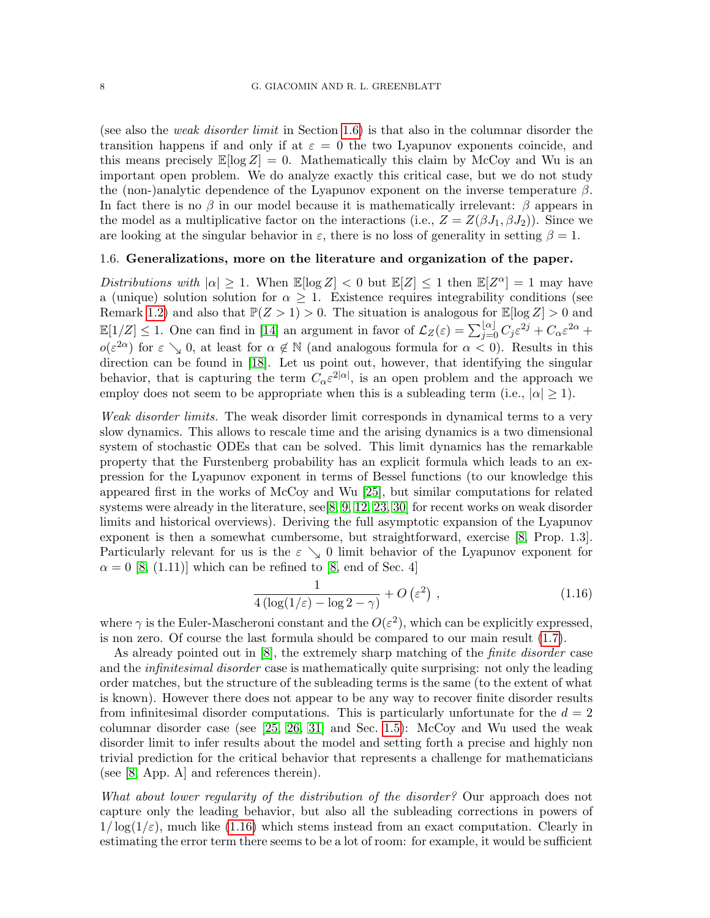(see also the weak disorder limit in Section [1.6\)](#page-7-0) is that also in the columnar disorder the transition happens if and only if at  $\varepsilon = 0$  the two Lyapunov exponents coincide, and this means precisely  $\mathbb{E}[\log Z] = 0$ . Mathematically this claim by McCoy and Wu is an important open problem. We do analyze exactly this critical case, but we do not study the (non-)analytic dependence of the Lyapunov exponent on the inverse temperature  $\beta$ . In fact there is no  $\beta$  in our model because it is mathematically irrelevant:  $\beta$  appears in the model as a multiplicative factor on the interactions (i.e.,  $Z = Z(\beta J_1, \beta J_2)$ ). Since we are looking at the singular behavior in  $\varepsilon$ , there is no loss of generality in setting  $\beta = 1$ .

### <span id="page-7-0"></span>1.6. Generalizations, more on the literature and organization of the paper.

Distributions with  $|\alpha| \geq 1$ . When  $\mathbb{E}[\log Z] < 0$  but  $\mathbb{E}[Z] \leq 1$  then  $\mathbb{E}[Z^{\alpha}] = 1$  may have a (unique) solution solution for  $\alpha \geq 1$ . Existence requires integrability conditions (see Remark [1.2\)](#page-1-0) and also that  $\mathbb{P}(Z > 1) > 0$ . The situation is analogous for  $\mathbb{E}[\log Z] > 0$  and  $\mathbb{E}[1/Z] \leq 1$ . One can find in [\[14\]](#page-27-2) an argument in favor of  $\mathcal{L}_Z(\varepsilon) = \sum_{j=0}^{\lfloor \alpha \rfloor} C_j \varepsilon^{2j} + C_\alpha \varepsilon^{2\alpha} + C_\alpha \varepsilon^{2\alpha}$  $o(\varepsilon^{2\alpha})$  for  $\varepsilon \searrow 0$ , at least for  $\alpha \notin \mathbb{N}$  (and analogous formula for  $\alpha < 0$ ). Results in this direction can be found in [\[18\]](#page-28-10). Let us point out, however, that identifying the singular behavior, that is capturing the term  $C_{\alpha} \varepsilon^{2|\alpha|}$ , is an open problem and the approach we employ does not seem to be appropriate when this is a subleading term (i.e.,  $|\alpha| \ge 1$ ).

Weak disorder limits. The weak disorder limit corresponds in dynamical terms to a very slow dynamics. This allows to rescale time and the arising dynamics is a two dimensional system of stochastic ODEs that can be solved. This limit dynamics has the remarkable property that the Furstenberg probability has an explicit formula which leads to an expression for the Lyapunov exponent in terms of Bessel functions (to our knowledge this appeared first in the works of McCoy and Wu [\[25\]](#page-28-7), but similar computations for related systems were already in the literature, see[\[8,](#page-27-3) [9,](#page-27-15) [12,](#page-27-5) [23,](#page-28-9) [30\]](#page-28-11) for recent works on weak disorder limits and historical overviews). Deriving the full asymptotic expansion of the Lyapunov exponent is then a somewhat cumbersome, but straightforward, exercise [\[8,](#page-27-3) Prop. 1.3]. Particularly relevant for us is the  $\varepsilon \searrow 0$  limit behavior of the Lyapunov exponent for  $\alpha = 0$  [\[8,](#page-27-3) (1.11)] which can be refined to [8, end of Sec. 4]

<span id="page-7-1"></span>
$$
\frac{1}{4\left(\log(1/\varepsilon) - \log 2 - \gamma\right)} + O\left(\varepsilon^2\right),\tag{1.16}
$$

where  $\gamma$  is the Euler-Mascheroni constant and the  $O(\varepsilon^2)$ , which can be explicitly expressed, is non zero. Of course the last formula should be compared to our main result [\(1.7\)](#page-2-1).

As already pointed out in [\[8\]](#page-27-3), the extremely sharp matching of the *finite disorder* case and the *infinitesimal disorder* case is mathematically quite surprising: not only the leading order matches, but the structure of the subleading terms is the same (to the extent of what is known). However there does not appear to be any way to recover finite disorder results from infinitesimal disorder computations. This is particularly unfortunate for the  $d = 2$ columnar disorder case (see  $[25, 26, 31]$  $[25, 26, 31]$  $[25, 26, 31]$  and Sec. [1.5\)](#page-5-0): McCoy and Wu used the weak disorder limit to infer results about the model and setting forth a precise and highly non trivial prediction for the critical behavior that represents a challenge for mathematicians (see [\[8,](#page-27-3) App. A] and references therein).

What about lower regularity of the distribution of the disorder? Our approach does not capture only the leading behavior, but also all the subleading corrections in powers of  $1/\log(1/\varepsilon)$ , much like [\(1.16\)](#page-7-1) which stems instead from an exact computation. Clearly in estimating the error term there seems to be a lot of room: for example, it would be sufficient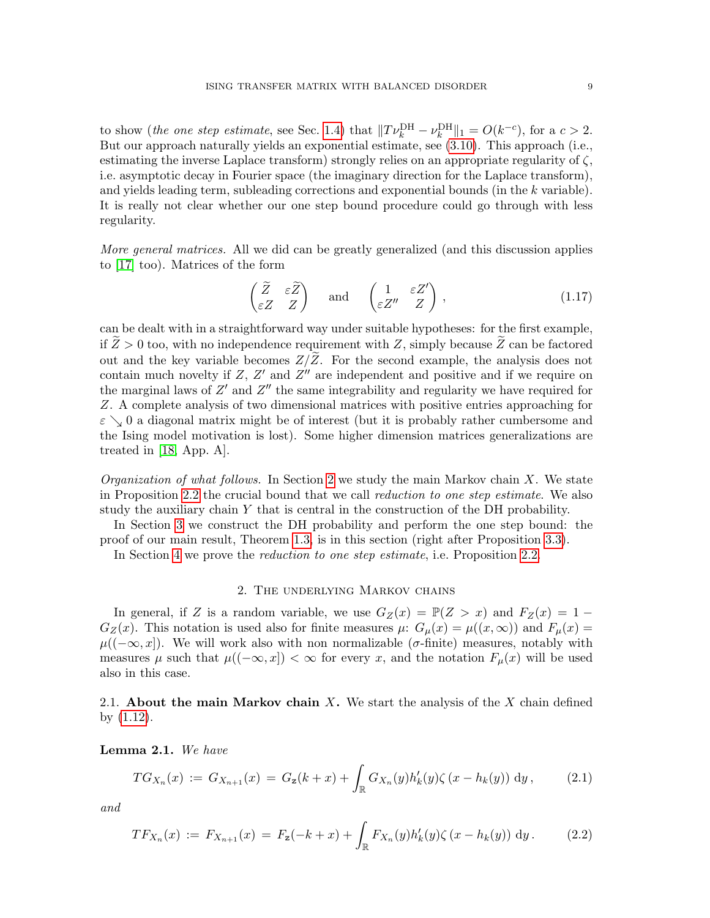to show (the one step estimate, see Sec. [1.4\)](#page-3-1) that  $||T\nu_k^{\text{DH}} - \nu_k^{\text{DH}}||_1 = O(k^{-c})$ , for a  $c > 2$ . But our approach naturally yields an exponential estimate, see [\(3.10\)](#page-16-2). This approach (i.e., estimating the inverse Laplace transform) strongly relies on an appropriate regularity of  $\zeta$ , i.e. asymptotic decay in Fourier space (the imaginary direction for the Laplace transform), and yields leading term, subleading corrections and exponential bounds (in the k variable). It is really not clear whether our one step bound procedure could go through with less regularity.

More general matrices. All we did can be greatly generalized (and this discussion applies to [\[17\]](#page-27-4) too). Matrices of the form

$$
\begin{pmatrix} \widetilde{Z} & \varepsilon \widetilde{Z} \\ \varepsilon Z & Z \end{pmatrix} \quad \text{and} \quad \begin{pmatrix} 1 & \varepsilon Z' \\ \varepsilon Z'' & Z \end{pmatrix}, \tag{1.17}
$$

can be dealt with in a straightforward way under suitable hypotheses: for the first example, if  $Z > 0$  too, with no independence requirement with Z, simply because Z can be factored out and the key variable becomes  $Z/\overline{Z}$ . For the second example, the analysis does not contain much novelty if  $Z$ ,  $Z'$  and  $Z''$  are independent and positive and if we require on the marginal laws of  $Z'$  and  $Z''$  the same integrability and regularity we have required for Z. A complete analysis of two dimensional matrices with positive entries approaching for  $\varepsilon \searrow 0$  a diagonal matrix might be of interest (but it is probably rather cumbersome and the Ising model motivation is lost). Some higher dimension matrices generalizations are treated in [\[18,](#page-28-10) App. A].

*Organization of what follows.* In Section [2](#page-8-0) we study the main Markov chain X. We state in Proposition [2.2](#page-9-1) the crucial bound that we call reduction to one step estimate. We also study the auxiliary chain Y that is central in the construction of the DH probability.

In Section [3](#page-15-0) we construct the DH probability and perform the one step bound: the proof of our main result, Theorem [1.3,](#page-2-0) is in this section (right after Proposition [3.3\)](#page-16-3).

In Section [4](#page-19-0) we prove the reduction to one step estimate, i.e. Proposition [2.2.](#page-9-1)

#### 2. The underlying Markov chains

<span id="page-8-0"></span>In general, if Z is a random variable, we use  $G_Z(x) = \mathbb{P}(Z > x)$  and  $F_Z(x) = 1 G_Z(x)$ . This notation is used also for finite measures  $\mu: G_{\mu}(x) = \mu((x,\infty))$  and  $F_{\mu}(x) =$  $\mu((-\infty, x])$ . We will work also with non normalizable ( $\sigma$ -finite) measures, notably with measures  $\mu$  such that  $\mu((-\infty, x]) < \infty$  for every x, and the notation  $F_{\mu}(x)$  will be used also in this case.

2.1. About the main Markov chain  $X$ . We start the analysis of the  $X$  chain defined by [\(1.12\)](#page-4-3).

Lemma 2.1. We have

$$
TG_{X_n}(x) := G_{X_{n+1}}(x) = G_{\mathbf{z}}(k+x) + \int_{\mathbb{R}} G_{X_n}(y) h'_k(y) \zeta (x - h_k(y)) \, \mathrm{d}y, \tag{2.1}
$$

and

$$
TF_{X_n}(x) := F_{X_{n+1}}(x) = F_{\mathbf{z}}(-k+x) + \int_{\mathbb{R}} F_{X_n}(y) h'_k(y) \zeta(x - h_k(y)) \, \mathrm{d}y. \tag{2.2}
$$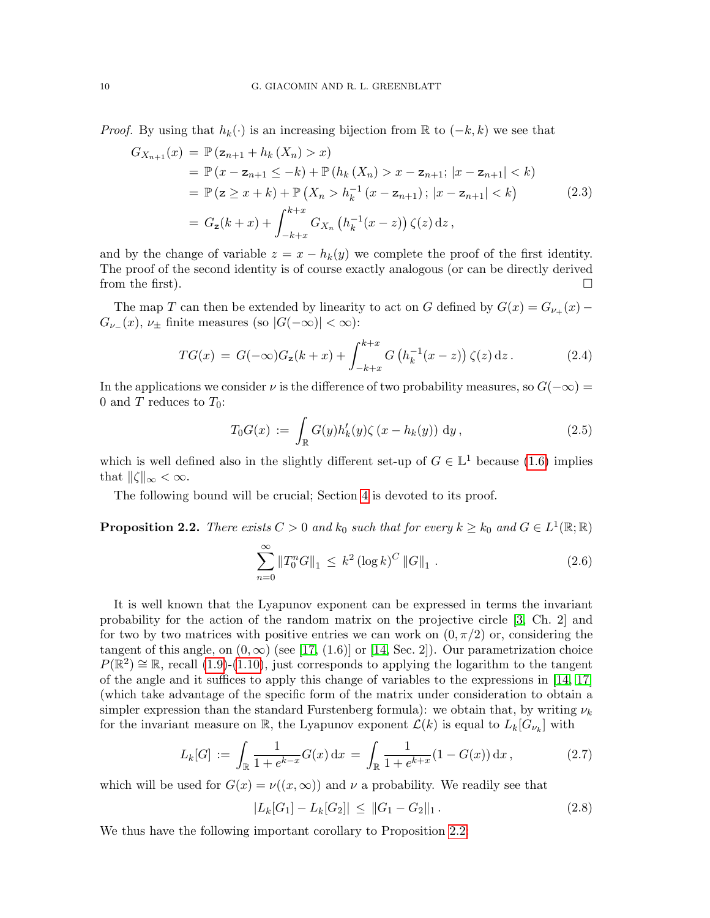*Proof.* By using that  $h_k(\cdot)$  is an increasing bijection from R to  $(-k, k)$  we see that

$$
G_{X_{n+1}}(x) = \mathbb{P}(z_{n+1} + h_k(X_n) > x)
$$
  
\n
$$
= \mathbb{P}(x - z_{n+1} \leq -k) + \mathbb{P}(h_k(X_n) > x - z_{n+1}; |x - z_{n+1}| < k)
$$
  
\n
$$
= \mathbb{P}(z \geq x + k) + \mathbb{P}(X_n > h_k^{-1}(x - z_{n+1}); |x - z_{n+1}| < k)
$$
  
\n
$$
= G_z(k + x) + \int_{-k+x}^{k+x} G_{X_n}(h_k^{-1}(x - z)) \zeta(z) dz,
$$
\n(2.3)

and by the change of variable  $z = x - h_k(y)$  we complete the proof of the first identity. The proof of the second identity is of course exactly analogous (or can be directly derived from the first).

The map T can then be extended by linearity to act on G defined by  $G(x) = G_{\nu_+}(x) G_{\nu_{-}}(x), \nu_{\pm}$  finite measures (so  $|G(-\infty)| < \infty$ ):

$$
TG(x) = G(-\infty)G_z(k+x) + \int_{-k+x}^{k+x} G\left(h_k^{-1}(x-z)\right)\zeta(z) \,dz. \tag{2.4}
$$

In the applications we consider  $\nu$  is the difference of two probability measures, so  $G(-\infty)$  = 0 and T reduces to  $T_0$ :

$$
T_0G(x) := \int_{\mathbb{R}} G(y)h'_k(y)\zeta(x - h_k(y)) dy,
$$
\n(2.5)

which is well defined also in the slightly different set-up of  $G \in \mathbb{L}^1$  because [\(1.6\)](#page-2-2) implies that  $\|\zeta\|_{\infty} < \infty$ .

The following bound will be crucial; Section [4](#page-19-0) is devoted to its proof.

<span id="page-9-1"></span>**Proposition 2.2.** There exists  $C > 0$  and  $k_0$  such that for every  $k \geq k_0$  and  $G \in L^1(\mathbb{R}; \mathbb{R})$ 

<span id="page-9-3"></span>
$$
\sum_{n=0}^{\infty} \|T_0^n G\|_1 \le k^2 (\log k)^C \|G\|_1.
$$
 (2.6)

It is well known that the Lyapunov exponent can be expressed in terms the invariant probability for the action of the random matrix on the projective circle [\[3,](#page-27-1) Ch. 2] and for two by two matrices with positive entries we can work on  $(0, \pi/2)$  or, considering the tangent of this angle, on  $(0, \infty)$  (see [\[17,](#page-27-4) (1.6)] or [\[14,](#page-27-2) Sec. 2]). Our parametrization choice  $P(\mathbb{R}^2) \cong \mathbb{R}$ , recall [\(1.9\)](#page-3-2)-[\(1.10\)](#page-4-0), just corresponds to applying the logarithm to the tangent of the angle and it suffices to apply this change of variables to the expressions in [\[14,](#page-27-2) [17\]](#page-27-4) (which take advantage of the specific form of the matrix under consideration to obtain a simpler expression than the standard Furstenberg formula): we obtain that, by writing  $\nu_k$ for the invariant measure on  $\mathbb{R}$ , the Lyapunov exponent  $\mathcal{L}(k)$  is equal to  $L_k[G_{\nu_k}]$  with

<span id="page-9-0"></span>
$$
L_k[G] := \int_{\mathbb{R}} \frac{1}{1 + e^{k - x}} G(x) dx = \int_{\mathbb{R}} \frac{1}{1 + e^{k + x}} (1 - G(x)) dx,
$$
 (2.7)

which will be used for  $G(x) = \nu((x, \infty))$  and  $\nu$  a probability. We readily see that

<span id="page-9-2"></span>
$$
|L_k[G_1] - L_k[G_2]| \le ||G_1 - G_2||_1. \tag{2.8}
$$

We thus have the following important corollary to Proposition [2.2:](#page-9-1)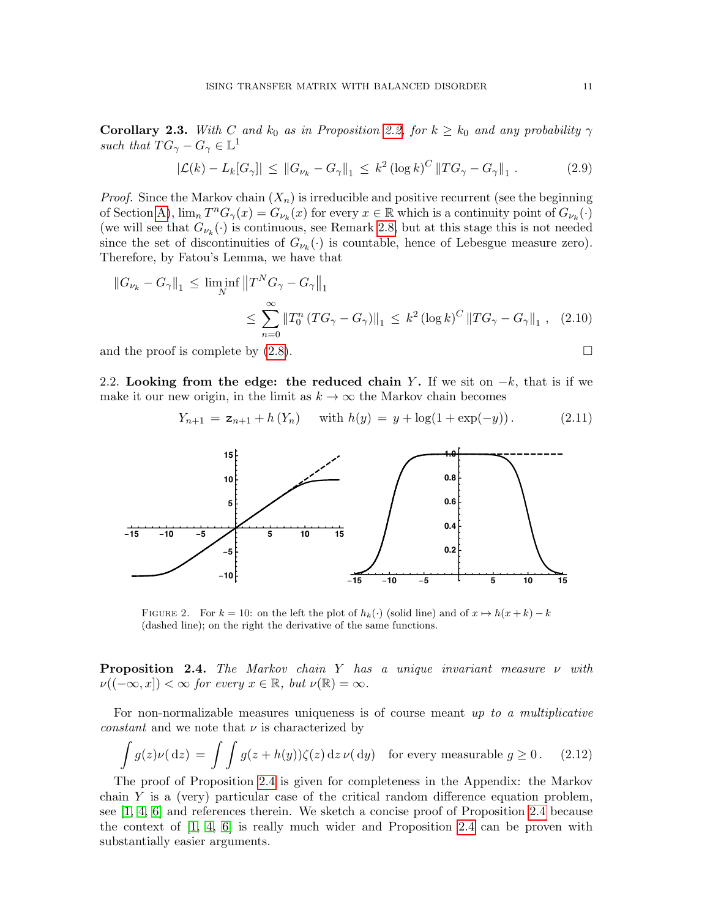<span id="page-10-4"></span>**Corollary 2.3.** With C and  $k_0$  as in Proposition [2.2,](#page-9-1) for  $k \geq k_0$  and any probability  $\gamma$ such that  $TG_\gamma - G_\gamma \in \mathbb{L}^1$ 

$$
|\mathcal{L}(k) - L_k[G_\gamma]| \leq ||G_{\nu_k} - G_\gamma||_1 \leq k^2 (\log k)^C ||TG_\gamma - G_\gamma||_1.
$$
 (2.9)

*Proof.* Since the Markov chain  $(X_n)$  is irreducible and positive recurrent (see the beginning of Section [A\)](#page-24-0),  $\lim_{n} T^{n} G_{\gamma}(x) = G_{\nu_{k}}(x)$  for every  $x \in \mathbb{R}$  which is a continuity point of  $G_{\nu_{k}}(\cdot)$ (we will see that  $G_{\nu_k}(\cdot)$  is continuous, see Remark [2.8,](#page-14-0) but at this stage this is not needed since the set of discontinuities of  $G_{\nu_k}(\cdot)$  is countable, hence of Lebesgue measure zero). Therefore, by Fatou's Lemma, we have that

$$
||G_{\nu_{k}} - G_{\gamma}||_{1} \le \liminf_{N} ||T^{N} G_{\gamma} - G_{\gamma}||_{1}
$$
  

$$
\le \sum_{n=0}^{\infty} ||T_{0}^{n} (TG_{\gamma} - G_{\gamma})||_{1} \le k^{2} (\log k)^{C} ||TG_{\gamma} - G_{\gamma}||_{1}, \quad (2.10)
$$

and the proof is complete by  $(2.8)$ .

2.2. Looking from the edge: the reduced chain Y. If we sit on  $-k$ , that is if we make it our new origin, in the limit as  $k \to \infty$  the Markov chain becomes

<span id="page-10-2"></span>
$$
Y_{n+1} = \mathbf{z}_{n+1} + h(Y_n) \quad \text{with } h(y) = y + \log(1 + \exp(-y)). \tag{2.11}
$$



<span id="page-10-0"></span>FIGURE 2. For  $k = 10$ : on the left the plot of  $h_k(\cdot)$  (solid line) and of  $x \mapsto h(x + k) - k$ (dashed line); on the right the derivative of the same functions.

<span id="page-10-1"></span>**Proposition 2.4.** The Markov chain Y has a unique invariant measure  $\nu$  with  $\nu((-\infty, x]) < \infty$  for every  $x \in \mathbb{R}$ , but  $\nu(\mathbb{R}) = \infty$ .

For non-normalizable measures uniqueness is of course meant up to a multiplicative *constant* and we note that  $\nu$  is characterized by

<span id="page-10-3"></span>
$$
\int g(z)\nu(\mathrm{d}z) = \int \int g(z+h(y))\zeta(z)\,\mathrm{d}z\,\nu(\mathrm{d}y) \quad \text{for every measurable } g \ge 0. \tag{2.12}
$$

The proof of Proposition [2.4](#page-10-1) is given for completeness in the Appendix: the Markov chain  $Y$  is a (very) particular case of the critical random difference equation problem, see [\[1,](#page-27-7) [4,](#page-27-8) [6\]](#page-27-9) and references therein. We sketch a concise proof of Proposition [2.4](#page-10-1) because the context of  $\begin{bmatrix} 1, 4, 6 \end{bmatrix}$  $\begin{bmatrix} 1, 4, 6 \end{bmatrix}$  $\begin{bmatrix} 1, 4, 6 \end{bmatrix}$  is really much wider and Proposition [2.4](#page-10-1) can be proven with substantially easier arguments.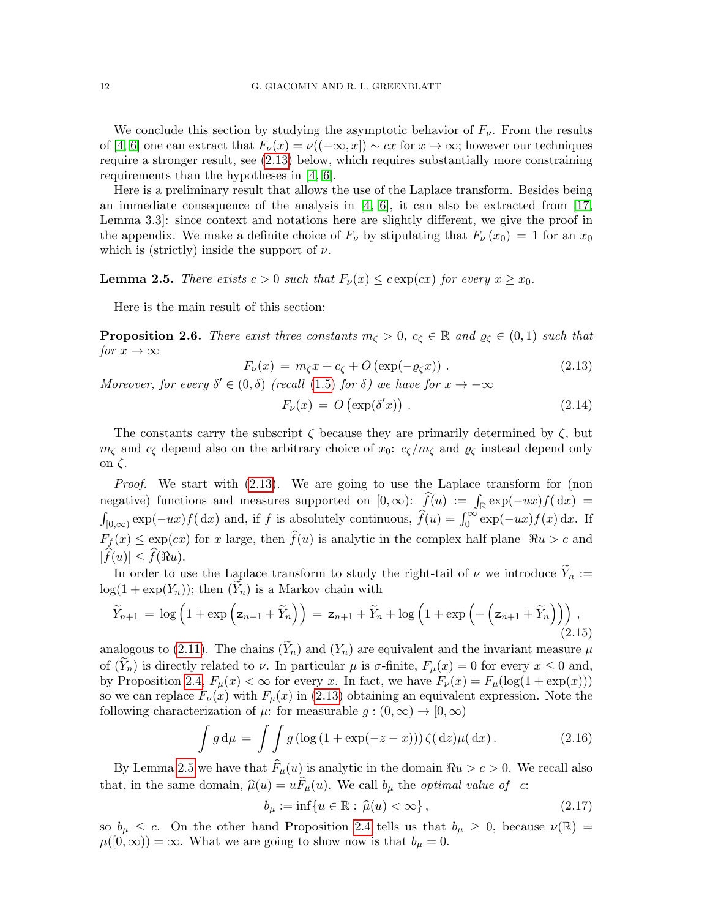We conclude this section by studying the asymptotic behavior of  $F_{\nu}$ . From the results of [\[4,](#page-27-8) [6\]](#page-27-9) one can extract that  $F_{\nu}(x) = \nu((-\infty, x]) \sim cx$  for  $x \to \infty$ ; however our techniques require a stronger result, see [\(2.13\)](#page-11-0) below, which requires substantially more constraining requirements than the hypotheses in [\[4,](#page-27-8) [6\]](#page-27-9).

Here is a preliminary result that allows the use of the Laplace transform. Besides being an immediate consequence of the analysis in  $[4, 6]$  $[4, 6]$ , it can also be extracted from [\[17,](#page-27-4) Lemma 3.3]: since context and notations here are slightly different, we give the proof in the appendix. We make a definite choice of  $F_{\nu}$  by stipulating that  $F_{\nu}(x_0) = 1$  for an  $x_0$ which is (strictly) inside the support of  $\nu$ .

<span id="page-11-1"></span>**Lemma 2.5.** There exists  $c > 0$  such that  $F_{\nu}(x) \leq c \exp(cx)$  for every  $x \geq x_0$ .

Here is the main result of this section:

<span id="page-11-4"></span>**Proposition 2.6.** There exist three constants  $m_{\zeta} > 0$ ,  $c_{\zeta} \in \mathbb{R}$  and  $\varrho_{\zeta} \in (0,1)$  such that for  $x \to \infty$ 

<span id="page-11-0"></span>
$$
F_{\nu}(x) = m_{\zeta}x + c_{\zeta} + O\left(\exp(-\varrho_{\zeta}x)\right). \tag{2.13}
$$

Moreover, for every  $\delta' \in (0, \delta)$  (recall [\(1.5\)](#page-2-3) for  $\delta$ ) we have for  $x \to -\infty$ 

<span id="page-11-3"></span>
$$
F_{\nu}(x) = O\left(\exp(\delta'x)\right). \tag{2.14}
$$

The constants carry the subscript  $\zeta$  because they are primarily determined by  $\zeta$ , but  $m_{\zeta}$  and  $c_{\zeta}$  depend also on the arbitrary choice of  $x_0$ :  $c_{\zeta}/m_{\zeta}$  and  $\varrho_{\zeta}$  instead depend only on ζ.

Proof. We start with  $(2.13)$ . We are going to use the Laplace transform for (non negative) functions and measures supported on  $[0, \infty)$ :  $\hat{f}(u) := \int_{\mathbb{R}} \exp(-ux)f(dx) =$  $\int_{[0,\infty)} \exp(-ux) f(\,dx)$  and, if f is absolutely continuous,  $\hat{f}(u) = \int_0^\infty \exp(-ux) f(x) \,dx$ . If  $F_f(x) \leq \exp(cx)$  for x large, then  $\widehat{f}(u)$  is analytic in the complex half plane  $\Re u > c$  and  $|\widehat{f}(u)| < \widehat{f}(\Re u).$ 

In order to use the Laplace transform to study the right-tail of  $\nu$  we introduce  $\widetilde{Y}_n :=$  $log(1 + exp(Y_n))$ ; then  $(\widetilde{Y}_n)$  is a Markov chain with

$$
\widetilde{Y}_{n+1} = \log\left(1 + \exp\left(\mathbf{z}_{n+1} + \widetilde{Y}_n\right)\right) = \mathbf{z}_{n+1} + \widetilde{Y}_n + \log\left(1 + \exp\left(-\left(\mathbf{z}_{n+1} + \widetilde{Y}_n\right)\right)\right),\tag{2.15}
$$

analogous to [\(2.11\)](#page-10-2). The chains  $(\widetilde{Y}_n)$  and  $(Y_n)$  are equivalent and the invariant measure  $\mu$ of  $(\widetilde{Y}_n)$  is directly related to  $\nu$ . In particular  $\mu$  is  $\sigma$ -finite,  $F_\mu(x) = 0$  for every  $x \leq 0$  and, by Proposition [2.4,](#page-10-1)  $F_{\mu}(x) < \infty$  for every x. In fact, we have  $F_{\nu}(x) = F_{\mu}(\log(1 + \exp(x)))$ so we can replace  $F_{\nu}(x)$  with  $F_{\mu}(x)$  in [\(2.13\)](#page-11-0) obtaining an equivalent expression. Note the following characterization of  $\mu$ : for measurable  $g : (0, \infty) \to [0, \infty)$ 

<span id="page-11-2"></span>
$$
\int g d\mu = \int \int g \left( \log \left( 1 + \exp(-z - x) \right) \right) \zeta(\mathrm{d}z) \mu(\mathrm{d}x). \tag{2.16}
$$

By Lemma [2.5](#page-11-1) we have that  $F_{\mu}(u)$  is analytic in the domain  $\Re u > c > 0$ . We recall also that, in the same domain,  $\hat{\mu}(u) = u\hat{F}_{\mu}(u)$ . We call  $b_{\mu}$  the *optimal value of* c:

$$
b_{\mu} := \inf\{u \in \mathbb{R} : \hat{\mu}(u) < \infty\},\tag{2.17}
$$

so  $b_{\mu} \leq c$ . On the other hand Proposition [2.4](#page-10-1) tells us that  $b_{\mu} \geq 0$ , because  $\nu(\mathbb{R}) =$  $\mu([0,\infty)) = \infty$ . What we are going to show now is that  $b_{\mu} = 0$ .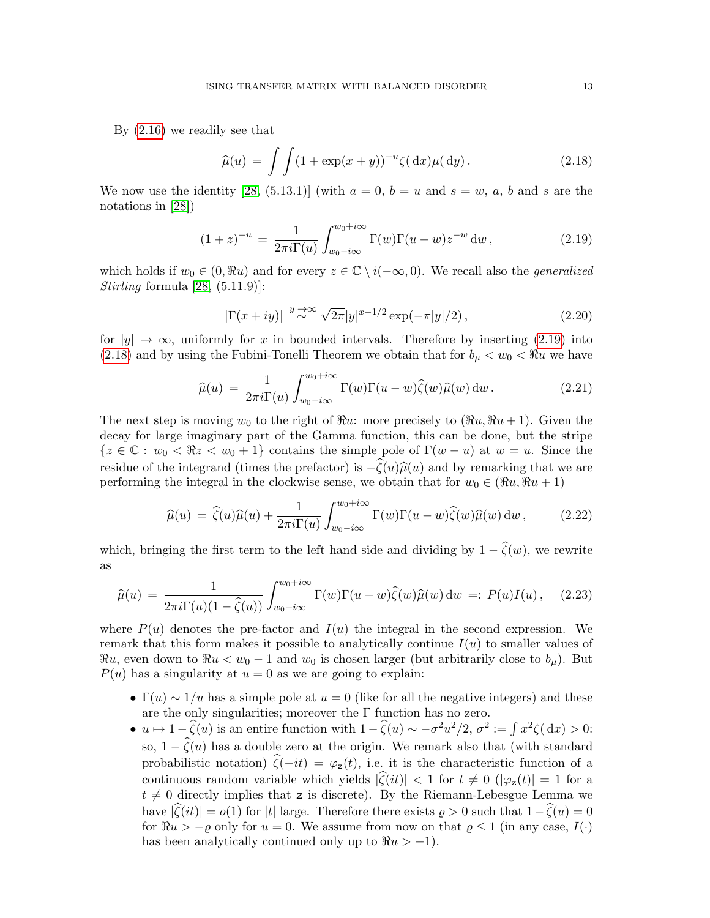By [\(2.16\)](#page-11-2) we readily see that

<span id="page-12-1"></span>
$$
\widehat{\mu}(u) = \int \int (1 + \exp(x + y))^{-u} \zeta(\mathrm{d}x) \mu(\mathrm{d}y). \tag{2.18}
$$

We now use the identity [\[28,](#page-28-12)  $(5.13.1)$ ] (with  $a = 0$ ,  $b = u$  and  $s = w$ , a, b and s are the notations in [\[28\]](#page-28-12))

<span id="page-12-0"></span>
$$
(1+z)^{-u} = \frac{1}{2\pi i \Gamma(u)} \int_{w_0 - i\infty}^{w_0 + i\infty} \Gamma(w) \Gamma(u - w) z^{-w} dw , \qquad (2.19)
$$

which holds if  $w_0 \in (0, \Re u)$  and for every  $z \in \mathbb{C} \setminus i(-\infty, 0)$ . We recall also the *generalized* Stirling formula  $[28, (5.11.9)]$ :

<span id="page-12-2"></span>
$$
|\Gamma(x+iy)| \stackrel{|y|\to\infty}{\sim} \sqrt{2\pi}|y|^{x-1/2} \exp(-\pi|y|/2), \qquad (2.20)
$$

for  $|y| \to \infty$ , uniformly for x in bounded intervals. Therefore by inserting [\(2.19\)](#page-12-0) into [\(2.18\)](#page-12-1) and by using the Fubini-Tonelli Theorem we obtain that for  $b_{\mu} < w_0 < \Re u$  we have

$$
\widehat{\mu}(u) = \frac{1}{2\pi i \Gamma(u)} \int_{w_0 - i\infty}^{w_0 + i\infty} \Gamma(w) \Gamma(u - w) \widehat{\zeta}(w) \widehat{\mu}(w) \, dw \,. \tag{2.21}
$$

The next step is moving  $w_0$  to the right of  $\Re u$ : more precisely to  $(\Re u, \Re u + 1)$ . Given the decay for large imaginary part of the Gamma function, this can be done, but the stripe  ${z \in \mathbb{C} : w_0 < \Re z < w_0 + 1}$  contains the simple pole of  $\Gamma(w - u)$  at  $w = u$ . Since the residue of the integrand (times the prefactor) is  $-\zeta(u)\hat{\mu}(u)$  and by remarking that we are performing the integral in the clockwise sense, we obtain that for  $w_0 \in (\Re u, \Re u + 1)$ 

$$
\widehat{\mu}(u) = \widehat{\zeta}(u)\widehat{\mu}(u) + \frac{1}{2\pi i\Gamma(u)} \int_{w_0 - i\infty}^{w_0 + i\infty} \Gamma(w)\Gamma(u - w)\widehat{\zeta}(w)\widehat{\mu}(w) dw, \qquad (2.22)
$$

which, bringing the first term to the left hand side and dividing by  $1 - \hat{\zeta}(w)$ , we rewrite as

<span id="page-12-3"></span>
$$
\widehat{\mu}(u) = \frac{1}{2\pi i \Gamma(u)(1-\widehat{\zeta}(u))} \int_{w_0 - i\infty}^{w_0 + i\infty} \Gamma(w) \Gamma(u-w) \widehat{\zeta}(w) \widehat{\mu}(w) dw =: P(u)I(u), \quad (2.23)
$$

where  $P(u)$  denotes the pre-factor and  $I(u)$  the integral in the second expression. We remark that this form makes it possible to analytically continue  $I(u)$  to smaller values of  $\Re u$ , even down to  $\Re u < w_0 - 1$  and  $w_0$  is chosen larger (but arbitrarily close to  $b_\mu$ ). But  $P(u)$  has a singularity at  $u = 0$  as we are going to explain:

- $\Gamma(u) \sim 1/u$  has a simple pole at  $u = 0$  (like for all the negative integers) and these are the only singularities; moreover the  $\Gamma$  function has no zero.
- $u \mapsto 1 \widehat{\zeta}(u)$  is an entire function with  $1 \widehat{\zeta}(u) \sim -\sigma^2 u^2/2$ ,  $\sigma^2 := \int x^2 \zeta(dx) > 0$ : so,  $1 - \widehat{\zeta}(u)$  has a double zero at the origin. We remark also that (with standard probabilistic notation)  $\hat{\zeta}(-it) = \varphi_z(t)$ , i.e. it is the characteristic function of a continuous random variable which yields  $|\hat{\zeta}(it)| < 1$  for  $t \neq 0$  ( $|\varphi_{z}(t)| = 1$  for a  $t \neq 0$  directly implies that z is discrete). By the Riemann-Lebesgue Lemma we have  $|\widehat{\zeta}(it)| = o(1)$  for |t| large. Therefore there exists  $\rho > 0$  such that  $1-\widehat{\zeta}(u) = 0$ for  $\Re u > -\varrho$  only for  $u = 0$ . We assume from now on that  $\varrho \leq 1$  (in any case,  $I(\cdot)$ ) has been analytically continued only up to  $\Re u > -1$ ).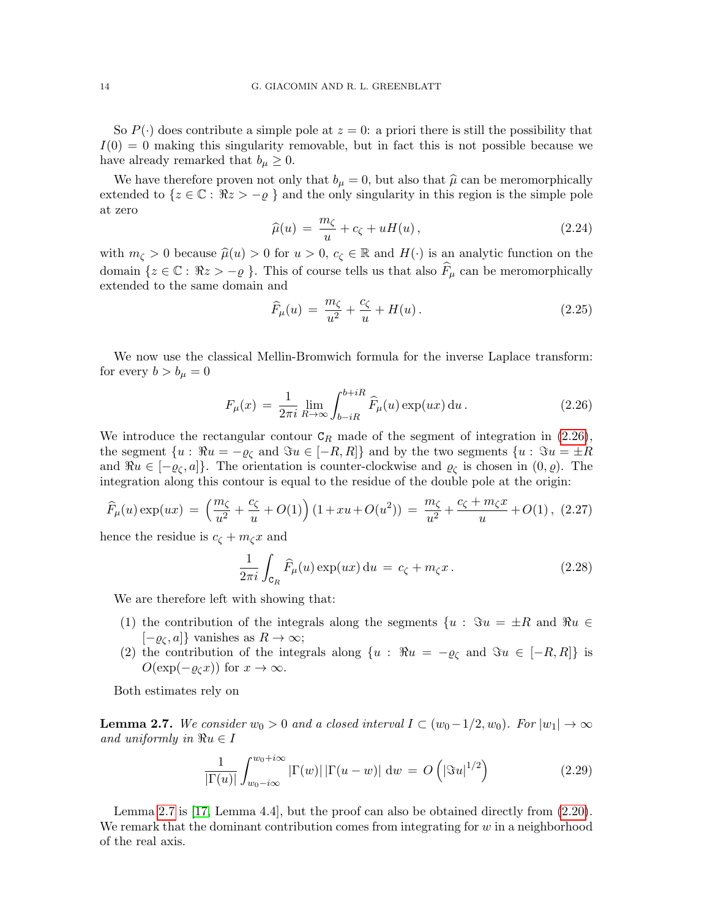So  $P(\cdot)$  does contribute a simple pole at  $z = 0$ : a priori there is still the possibility that  $I(0) = 0$  making this singularity removable, but in fact this is not possible because we have already remarked that  $b_u \geq 0$ .

We have therefore proven not only that  $b_{\mu} = 0$ , but also that  $\hat{\mu}$  can be meromorphically extended to  $\{z \in \mathbb{C} : \Re z > -\varrho \}$  and the only singularity in this region is the simple pole at zero

$$
\widehat{\mu}(u) = \frac{m_{\zeta}}{u} + c_{\zeta} + uH(u), \qquad (2.24)
$$

with  $m_{\zeta} > 0$  because  $\hat{\mu}(u) > 0$  for  $u > 0$ ,  $c_{\zeta} \in \mathbb{R}$  and  $H(\cdot)$  is an analytic function on the domain  $\{z \in \mathbb{C} : \Re z > -\varrho \}$ . This of course tells us that also  $F_\mu$  can be meromorphically extended to the same domain and

$$
\widehat{F}_{\mu}(u) = \frac{m_{\zeta}}{u^2} + \frac{c_{\zeta}}{u} + H(u). \tag{2.25}
$$

We now use the classical Mellin-Bromwich formula for the inverse Laplace transform: for every  $b > b_\mu = 0$ 

<span id="page-13-0"></span>
$$
F_{\mu}(x) = \frac{1}{2\pi i} \lim_{R \to \infty} \int_{b-iR}^{b+iR} \widehat{F}_{\mu}(u) \exp(ux) \, \mathrm{d}u \,. \tag{2.26}
$$

We introduce the rectangular contour  $C_R$  made of the segment of integration in [\(2.26\)](#page-13-0), the segment  $\{u : \Re u = -\varrho_{\zeta} \text{ and } \Im u \in [-R, R] \}$  and by the two segments  $\{u : \Im u = \pm R\}$ and  $\Re u \in [-\varrho_{\zeta}, a]$ . The orientation is counter-clockwise and  $\varrho_{\zeta}$  is chosen in  $(0, \varrho)$ . The integration along this contour is equal to the residue of the double pole at the origin:

$$
\widehat{F}_{\mu}(u) \exp(ux) = \left(\frac{m_{\zeta}}{u^2} + \frac{c_{\zeta}}{u} + O(1)\right) \left(1 + xu + O(u^2)\right) = \frac{m_{\zeta}}{u^2} + \frac{c_{\zeta} + m_{\zeta}x}{u} + O(1), \tag{2.27}
$$

hence the residue is  $c_{\zeta} + m_{\zeta}x$  and

$$
\frac{1}{2\pi i} \int_{\mathcal{C}_R} \widehat{F}_{\mu}(u) \exp(ux) \, \mathrm{d}u = c_{\zeta} + m_{\zeta} x \,. \tag{2.28}
$$

We are therefore left with showing that:

- (1) the contribution of the integrals along the segments  $\{u : \Im u = \pm R \text{ and } \Re u \in$  $[-\varrho_{\zeta}, a]$ } vanishes as  $R \to \infty$ ;
- (2) the contribution of the integrals along  $\{u : \Re u = -\varrho_{\mathcal{C}} \text{ and } \Im u \in [-R, R] \}$  is  $O(\exp(-\varrho_{\zeta}x))$  for  $x \to \infty$ .

Both estimates rely on

<span id="page-13-1"></span>**Lemma 2.7.** We consider  $w_0 > 0$  and a closed interval  $I \subset (w_0 - 1/2, w_0)$ . For  $|w_1| \to \infty$ and uniformly in  $\Re u \in I$ 

<span id="page-13-2"></span>
$$
\frac{1}{|\Gamma(u)|} \int_{w_0 - i\infty}^{w_0 + i\infty} |\Gamma(w)| |\Gamma(u - w)| \, \mathrm{d}w = O\left( |\Im u|^{1/2} \right) \tag{2.29}
$$

Lemma [2.7](#page-13-1) is [\[17,](#page-27-4) Lemma 4.4], but the proof can also be obtained directly from [\(2.20\)](#page-12-2). We remark that the dominant contribution comes from integrating for  $w$  in a neighborhood of the real axis.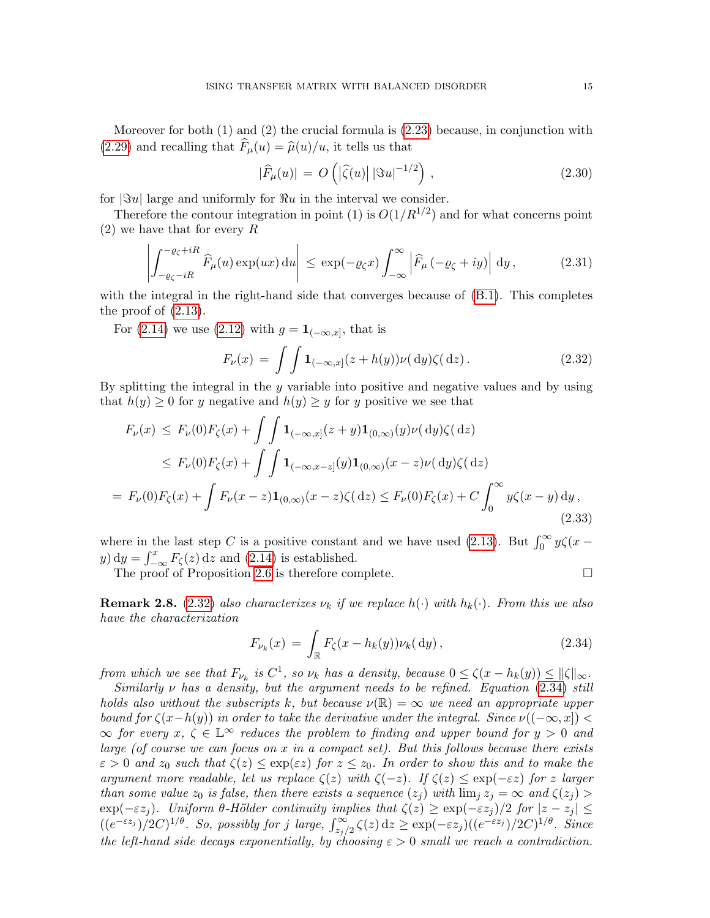Moreover for both (1) and (2) the crucial formula is [\(2.23\)](#page-12-3) because, in conjunction with [\(2.29\)](#page-13-2) and recalling that  $\widehat{F}_{\mu}(u) = \widehat{\mu}(u)/u$ , it tells us that

$$
|\widehat{F}_{\mu}(u)| = O\left(|\widehat{\zeta}(u)| |\Im u|^{-1/2}\right),\tag{2.30}
$$

for  $|\Im u|$  large and uniformly for  $\Re u$  in the interval we consider.

Therefore the contour integration in point (1) is  $O(1/R^{1/2})$  and for what concerns point (2) we have that for every R

$$
\left| \int_{-\varrho_{\zeta}-iR}^{-\varrho_{\zeta}+iR} \widehat{F}_{\mu}(u) \exp(ux) \, \mathrm{d}u \right| \leq \exp(-\varrho_{\zeta}x) \int_{-\infty}^{\infty} \left| \widehat{F}_{\mu}(-\varrho_{\zeta}+iy) \right| \, \mathrm{d}y \,, \tag{2.31}
$$

with the integral in the right-hand side that converges because of  $(B.1)$ . This completes the proof of  $(2.13)$ .

For [\(2.14\)](#page-11-3) we use [\(2.12\)](#page-10-3) with  $g = \mathbf{1}_{(-\infty,x]}$ , that is

<span id="page-14-1"></span>
$$
F_{\nu}(x) = \int \int \mathbf{1}_{(-\infty,x]}(z+h(y))\nu(\mathrm{d}y)\zeta(\mathrm{d}z). \tag{2.32}
$$

By splitting the integral in the y variable into positive and negative values and by using that  $h(y) \geq 0$  for y negative and  $h(y) \geq y$  for y positive we see that

$$
F_{\nu}(x) \le F_{\nu}(0)F_{\zeta}(x) + \int \int \mathbf{1}_{(-\infty,x]}(z+y)\mathbf{1}_{(0,\infty)}(y)\nu(\mathrm{d}y)\zeta(\mathrm{d}z)
$$
  
\n
$$
\le F_{\nu}(0)F_{\zeta}(x) + \int \int \mathbf{1}_{(-\infty,x-z]}(y)\mathbf{1}_{(0,\infty)}(x-z)\nu(\mathrm{d}y)\zeta(\mathrm{d}z)
$$
  
\n
$$
= F_{\nu}(0)F_{\zeta}(x) + \int F_{\nu}(x-z)\mathbf{1}_{(0,\infty)}(x-z)\zeta(\mathrm{d}z) \le F_{\nu}(0)F_{\zeta}(x) + C \int_0^\infty y\zeta(x-y)\mathrm{d}y,
$$
\n(2.33)

where in the last step C is a positive constant and we have used [\(2.13\)](#page-11-0). But  $\int_0^\infty y\zeta(x-\zeta(x))$  $y) dy = \int_{-\infty}^{x} F_{\zeta}(z) dz$  and [\(2.14\)](#page-11-3) is established.

The proof of Proposition [2.6](#page-11-4) is therefore complete.  $\Box$ 

<span id="page-14-0"></span>**Remark 2.8.** [\(2.32\)](#page-14-1) also characterizes  $\nu_k$  if we replace  $h(\cdot)$  with  $h_k(\cdot)$ . From this we also have the characterization

<span id="page-14-2"></span>
$$
F_{\nu_k}(x) = \int_{\mathbb{R}} F_{\zeta}(x - h_k(y)) \nu_k(\mathrm{d}y), \qquad (2.34)
$$

from which we see that  $F_{\nu_k}$  is  $C^1$ , so  $\nu_k$  has a density, because  $0 \le \zeta(x - h_k(y)) \le ||\zeta||_{\infty}$ .

Similarly  $\nu$  has a density, but the argument needs to be refined. Equation [\(2.34\)](#page-14-2) still holds also without the subscripts k, but because  $\nu(\mathbb{R}) = \infty$  we need an appropriate upper bound for  $\zeta(x-h(y))$  in order to take the derivative under the integral. Since  $\nu((-\infty, x])$  $\infty$  for every  $x, \zeta \in \mathbb{L}^{\infty}$  reduces the problem to finding and upper bound for  $y > 0$  and large (of course we can focus on  $x$  in a compact set). But this follows because there exists  $\varepsilon > 0$  and  $z_0$  such that  $\zeta(z) \leq \exp(\varepsilon z)$  for  $z \leq z_0$ . In order to show this and to make the argument more readable, let us replace  $\zeta(z)$  with  $\zeta(-z)$ . If  $\zeta(z) \leq \exp(-\varepsilon z)$  for z larger than some value  $z_0$  is false, then there exists a sequence  $(z_i)$  with  $\lim_i z_i = \infty$  and  $\zeta(z_i)$  $\exp(-\varepsilon z_j)$ . Uniform  $\theta$ -Hölder continuity implies that  $\zeta(z) \geq \exp(-\varepsilon z_j)/2$  for  $|z - z_j| \leq$  $((e^{-\varepsilon z_j})/2C)^{1/\theta}$ . So, possibly for j large,  $\int_{z_j/2}^{\infty} \zeta(z) dz \ge \exp(-\varepsilon z_j)((e^{-\varepsilon z_j})/2C)^{1/\theta}$ . Since the left-hand side decays exponentially, by choosing  $\varepsilon > 0$  small we reach a contradiction.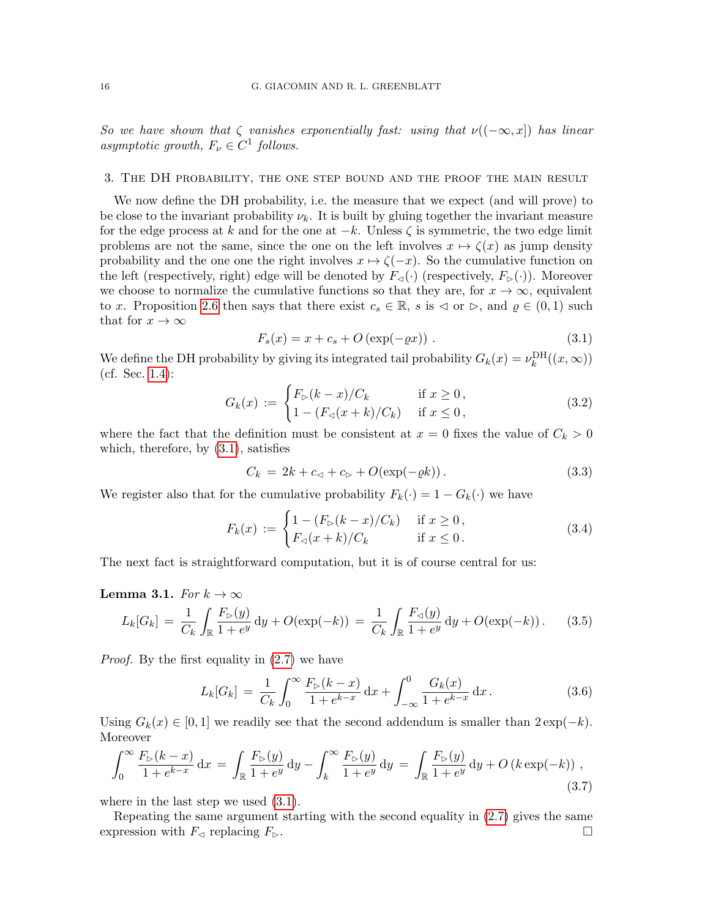So we have shown that  $\zeta$  vanishes exponentially fast: using that  $\nu((-\infty, x])$  has linear asymptotic growth,  $F_{\nu} \in C^1$  follows.

### <span id="page-15-0"></span>3. The DH probability, the one step bound and the proof the main result

We now define the DH probability, i.e. the measure that we expect (and will prove) to be close to the invariant probability  $\nu_k$ . It is built by gluing together the invariant measure for the edge process at k and for the one at  $-k$ . Unless  $\zeta$  is symmetric, the two edge limit problems are not the same, since the one on the left involves  $x \mapsto \zeta(x)$  as jump density probability and the one one the right involves  $x \mapsto \zeta(-x)$ . So the cumulative function on the left (respectively, right) edge will be denoted by  $F_{\leq}(\cdot)$  (respectively,  $F_{\triangleright}(\cdot)$ ). Moreover we choose to normalize the cumulative functions so that they are, for  $x \to \infty$ , equivalent to x. Proposition [2.6](#page-11-4) then says that there exist  $c_s \in \mathbb{R}$ , s is  $\triangleleft$  or  $\triangleright$ , and  $\varrho \in (0,1)$  such that for  $x \to \infty$ 

<span id="page-15-1"></span>
$$
F_s(x) = x + c_s + O\left(\exp(-\varrho x)\right). \tag{3.1}
$$

We define the DH probability by giving its integrated tail probability  $G_k(x) = \nu_k^{\text{DH}}((x,\infty))$ (cf. Sec. [1.4\)](#page-3-1):

$$
G_k(x) := \begin{cases} F_{\rhd}(k-x)/C_k & \text{if } x \ge 0, \\ 1 - (F_{\lhd}(x+k)/C_k) & \text{if } x \le 0, \end{cases}
$$
 (3.2)

where the fact that the definition must be consistent at  $x = 0$  fixes the value of  $C_k > 0$ which, therefore, by [\(3.1\)](#page-15-1), satisfies

<span id="page-15-4"></span>
$$
C_k = 2k + c_{\lhd} + c_{\rhd} + O(\exp(-\varrho k)). \tag{3.3}
$$

We register also that for the cumulative probability  $F_k(\cdot) = 1 - G_k(\cdot)$  we have

<span id="page-15-5"></span>
$$
F_k(x) := \begin{cases} 1 - (F_{\triangleright}(k-x)/C_k) & \text{if } x \ge 0, \\ F_{\triangleleft}(x+k)/C_k & \text{if } x \le 0. \end{cases}
$$
 (3.4)

The next fact is straightforward computation, but it is of course central for us:

### <span id="page-15-3"></span>Lemma 3.1. For  $k \to \infty$

<span id="page-15-2"></span>
$$
L_k[G_k] = \frac{1}{C_k} \int_{\mathbb{R}} \frac{F_{\triangleright}(y)}{1 + e^y} \, \mathrm{d}y + O(\exp(-k)) = \frac{1}{C_k} \int_{\mathbb{R}} \frac{F_{\triangleleft}(y)}{1 + e^y} \, \mathrm{d}y + O(\exp(-k)). \tag{3.5}
$$

Proof. By the first equality in [\(2.7\)](#page-9-0) we have

$$
L_k[G_k] = \frac{1}{C_k} \int_0^\infty \frac{F_{\rhd}(k-x)}{1+e^{k-x}} dx + \int_{-\infty}^0 \frac{G_k(x)}{1+e^{k-x}} dx.
$$
 (3.6)

Using  $G_k(x) \in [0,1]$  we readily see that the second addendum is smaller than  $2 \exp(-k)$ . Moreover

$$
\int_0^\infty \frac{F_{\rhd}(k-x)}{1+e^{k-x}} dx = \int_{\mathbb{R}} \frac{F_{\rhd}(y)}{1+e^y} dy - \int_k^\infty \frac{F_{\rhd}(y)}{1+e^y} dy = \int_{\mathbb{R}} \frac{F_{\rhd}(y)}{1+e^y} dy + O\left(k \exp(-k)\right),\tag{3.7}
$$

where in the last step we used  $(3.1)$ .

Repeating the same argument starting with the second equality in [\(2.7\)](#page-9-0) gives the same expression with  $F_{\lhd}$  replacing  $F_{\rhd}$ .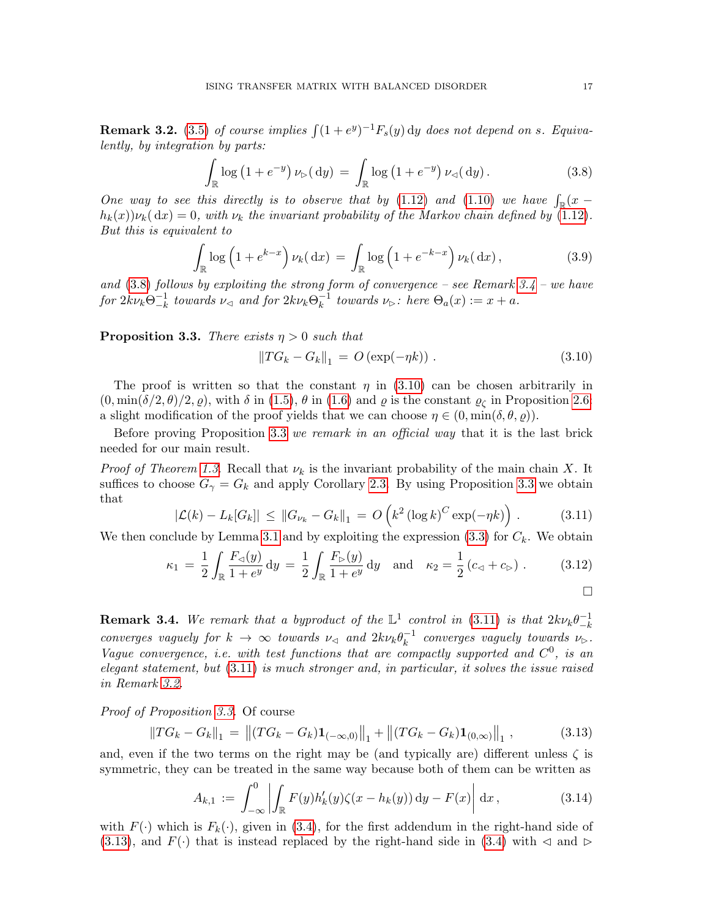<span id="page-16-1"></span>**Remark 3.2.** [\(3.5\)](#page-15-2) of course implies  $\int (1+e^y)^{-1} F_s(y) dy$  does not depend on s. Equivalently, by integration by parts:

<span id="page-16-4"></span>
$$
\int_{\mathbb{R}} \log \left( 1 + e^{-y} \right) \nu_{\triangleright}(\mathrm{d}y) = \int_{\mathbb{R}} \log \left( 1 + e^{-y} \right) \nu_{\triangleleft}(\mathrm{d}y). \tag{3.8}
$$

One way to see this directly is to observe that by [\(1.12\)](#page-4-3) and [\(1.10\)](#page-4-0) we have  $\int_{\mathbb{R}} (x$  $h_k(x)\nu_k(dx) = 0$ , with  $\nu_k$  the invariant probability of the Markov chain defined by [\(1.12\)](#page-4-3). But this is equivalent to

$$
\int_{\mathbb{R}} \log \left( 1 + e^{k-x} \right) \nu_k(\,\mathrm{d}x) = \int_{\mathbb{R}} \log \left( 1 + e^{-k-x} \right) \nu_k(\,\mathrm{d}x),\tag{3.9}
$$

and  $(3.8)$  follows by exploiting the strong form of convergence – see Remark  $3.4$  – we have for  $2k\nu_k\Theta_{-k}^{-1}$  $\bar{z}_{-k}^{-1}$  towards  $\nu_{\lhd}$  and for  $2k\nu_k\Theta_k^{-1}$  $\overline{k}^1$  towards  $\nu_{\triangleright}$ : here  $\Theta_a(x) := x + a$ .

<span id="page-16-3"></span>**Proposition 3.3.** There exists  $\eta > 0$  such that

<span id="page-16-2"></span>
$$
||TG_k - G_k||_1 = O(\exp(-\eta k)). \qquad (3.10)
$$

The proof is written so that the constant  $\eta$  in [\(3.10\)](#page-16-2) can be chosen arbitrarily in  $(0, \min(\delta/2, \theta)/2, \varrho)$ , with  $\delta$  in [\(1.5\)](#page-2-3),  $\theta$  in [\(1.6\)](#page-2-2) and  $\varrho$  is the constant  $\varrho_{\zeta}$  in Proposition [2.6:](#page-11-4) a slight modification of the proof yields that we can choose  $\eta \in (0, \min(\delta, \theta, \varrho)).$ 

Before proving Proposition [3.3](#page-16-3) we remark in an official way that it is the last brick needed for our main result.

*Proof of Theorem [1.3](#page-2-0).* Recall that  $\nu_k$  is the invariant probability of the main chain X. It suffices to choose  $G_{\gamma} = G_k$  and apply Corollary [2.3.](#page-10-4) By using Proposition [3.3](#page-16-3) we obtain that

<span id="page-16-6"></span>
$$
|\mathcal{L}(k) - L_k[G_k]| \leq ||G_{\nu_k} - G_k||_1 = O\left(k^2 (\log k)^C \exp(-\eta k)\right).
$$
 (3.11)

We then conclude by Lemma [3.1](#page-15-3) and by exploiting the expression  $(3.3)$  for  $C_k$ . We obtain

<span id="page-16-0"></span>
$$
\kappa_1 = \frac{1}{2} \int_{\mathbb{R}} \frac{F_{\lhd}(y)}{1+e^y} \, \mathrm{d}y = \frac{1}{2} \int_{\mathbb{R}} \frac{F_{\rhd}(y)}{1+e^y} \, \mathrm{d}y \quad \text{and} \quad \kappa_2 = \frac{1}{2} \left( c_{\lhd} + c_{\rhd} \right) . \tag{3.12}
$$

<span id="page-16-5"></span>**Remark 3.4.** We remark that a byproduct of the  $\mathbb{L}^1$  control in [\(3.11\)](#page-16-6) is that  $2k\nu_k\theta_{-k}^{-1}$  $-k$ converges vaguely for  $k \to \infty$  towards  $\nu_{\leq 0}$  and  $2k\nu_k\theta_k^{-1}$  $\bar{k}^{-1}$  converges vaguely towards  $\nu_{\triangleright}$ . Vague convergence, *i.e.* with test functions that are compactly supported and  $C^0$ , is an elegant statement, but [\(3.11\)](#page-16-6) is much stronger and, in particular, it solves the issue raised in Remark [3.2.](#page-16-1)

Proof of Proposition [3.3.](#page-16-3) Of course

<span id="page-16-7"></span>
$$
||TG_k - G_k||_1 = ||(TG_k - G_k)\mathbf{1}_{(-\infty,0)}||_1 + ||(TG_k - G_k)\mathbf{1}_{(0,\infty)}||_1,
$$
\n(3.13)

and, even if the two terms on the right may be (and typically are) different unless  $\zeta$  is symmetric, they can be treated in the same way because both of them can be written as

$$
A_{k,1} := \int_{-\infty}^{0} \left| \int_{\mathbb{R}} F(y) h'_k(y) \zeta(x - h_k(y)) dy - F(x) \right| dx, \qquad (3.14)
$$

with  $F(\cdot)$  which is  $F_k(\cdot)$ , given in [\(3.4\)](#page-15-5), for the first addendum in the right-hand side of [\(3.13\)](#page-16-7), and  $F(\cdot)$  that is instead replaced by the right-hand side in [\(3.4\)](#page-15-5) with  $\lhd$  and  $\rhd$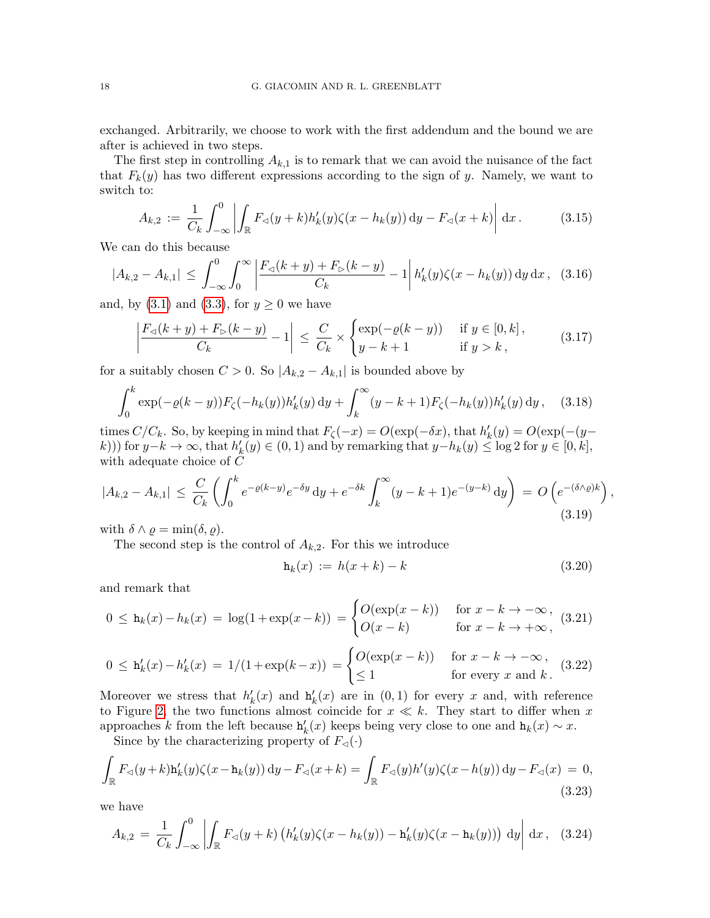exchanged. Arbitrarily, we choose to work with the first addendum and the bound we are after is achieved in two steps.

The first step in controlling  $A_{k,1}$  is to remark that we can avoid the nuisance of the fact that  $F_k(y)$  has two different expressions according to the sign of y. Namely, we want to switch to:

$$
A_{k,2} := \frac{1}{C_k} \int_{-\infty}^0 \left| \int_{\mathbb{R}} F_{\lhd}(y+k) h'_k(y) \zeta(x-h_k(y)) \, dy - F_{\lhd}(x+k) \right| \, dx. \tag{3.15}
$$

We can do this because

$$
|A_{k,2} - A_{k,1}| \leq \int_{-\infty}^{0} \int_{0}^{\infty} \left| \frac{F_{\lhd}(k+y) + F_{\rhd}(k-y)}{C_k} - 1 \right| h'_k(y) \zeta(x - h_k(y)) \, dy \, dx \,, \tag{3.16}
$$

and, by  $(3.1)$  and  $(3.3)$ , for  $y \geq 0$  we have

$$
\left|\frac{F_{\lhd}(k+y)+F_{\rhd}(k-y)}{C_k}-1\right| \leq \frac{C}{C_k} \times \begin{cases} \exp(-\varrho(k-y)) & \text{if } y \in [0,k],\\ y-k+1 & \text{if } y > k, \end{cases} \tag{3.17}
$$

for a suitably chosen  $C > 0$ . So  $|A_{k,2} - A_{k,1}|$  is bounded above by

$$
\int_0^k \exp(-\varrho(k-y)) F_\zeta(-h_k(y)) h'_k(y) \, dy + \int_k^\infty (y - k + 1) F_\zeta(-h_k(y)) h'_k(y) \, dy, \quad (3.18)
$$

times  $C/C_k$ . So, by keeping in mind that  $F_{\zeta}(-x) = O(\exp(-\delta x))$ , that  $h'_k(y) = O(\exp(-\delta y))$ k))) for  $y-k \to \infty$ , that  $h'_k(y) \in (0,1)$  and by remarking that  $y-h_k(y) \le \log 2$  for  $y \in [0,k]$ , with adequate choice of  $\tilde{C}$ 

$$
|A_{k,2} - A_{k,1}| \le \frac{C}{C_k} \left( \int_0^k e^{-\varrho(k-y)} e^{-\delta y} dy + e^{-\delta k} \int_k^\infty (y - k + 1) e^{-(y - k)} dy \right) = O\left(e^{-(\delta \wedge \varrho)k}\right),\tag{3.19}
$$

with  $\delta \wedge \varrho = \min(\delta, \varrho)$ .

The second step is the control of  $A_{k,2}$ . For this we introduce

$$
\mathbf{h}_k(x) := h(x+k) - k \tag{3.20}
$$

and remark that

$$
0 \leq \mathbf{h}_k(x) - h_k(x) = \log(1 + \exp(x - k)) = \begin{cases} O(\exp(x - k)) & \text{for } x - k \to -\infty, \\ O(x - k) & \text{for } x - k \to +\infty, \end{cases}
$$
(3.21)

$$
0 \le \mathbf{h}'_k(x) - h'_k(x) = 1/(1 + \exp(k - x)) = \begin{cases} O(\exp(x - k)) & \text{for } x - k \to -\infty, \\ \le 1 & \text{for every } x \text{ and } k. \end{cases}
$$
(3.22)

Moreover we stress that  $h'_k(x)$  and  $h'_k(x)$  are in  $(0,1)$  for every x and, with reference to Figure [2,](#page-10-0) the two functions almost coincide for  $x \ll k$ . They start to differ when x approaches k from the left because  $h'_k(x)$  keeps being very close to one and  $h_k(x) \sim x$ .

Since by the characterizing property of  $F_{\leq}(\cdot)$ 

$$
\int_{\mathbb{R}} F_{\lhd}(y+k) \mathbf{h}'_k(y) \zeta(x-\mathbf{h}_k(y)) \, \mathrm{d}y - F_{\lhd}(x+k) = \int_{\mathbb{R}} F_{\lhd}(y) h'(y) \zeta(x-h(y)) \, \mathrm{d}y - F_{\lhd}(x) = 0,
$$
\n(3.23)

we have

$$
A_{k,2} = \frac{1}{C_k} \int_{-\infty}^0 \left| \int_{\mathbb{R}} F_{\lhd}(y+k) \left( h'_k(y) \zeta(x-h_k(y)) - \mathbf{h}'_k(y) \zeta(x-h_k(y)) \right) dy \right| dx, \quad (3.24)
$$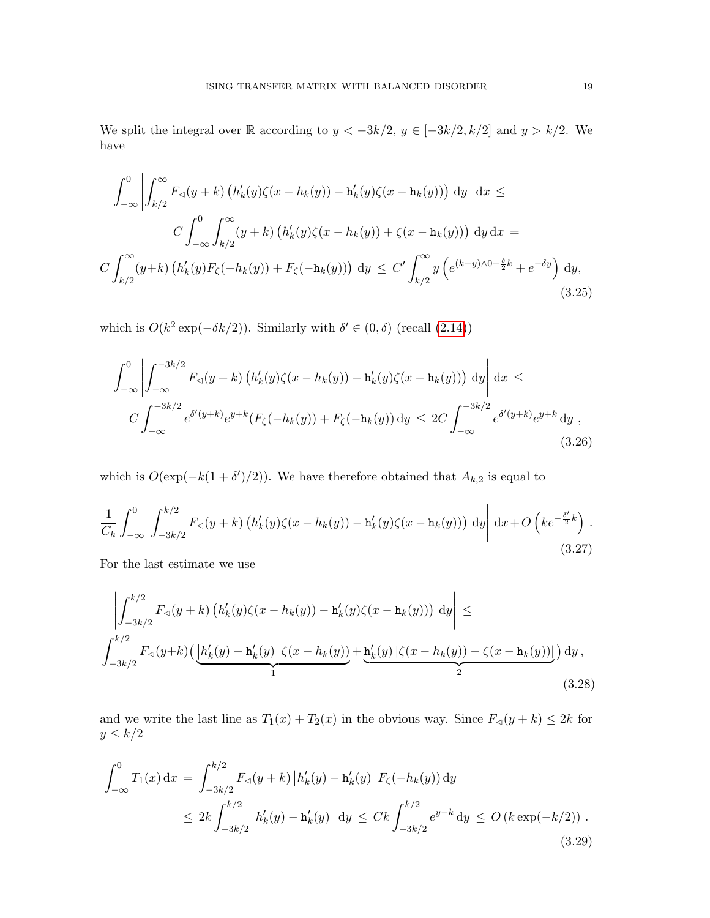We split the integral over R according to  $y < -3k/2$ ,  $y \in [-3k/2, k/2]$  and  $y > k/2$ . We have

$$
\int_{-\infty}^{0} \left| \int_{k/2}^{\infty} F_{\lhd}(y+k) \left( h'_{k}(y)\zeta(x-h_{k}(y)) - h'_{k}(y)\zeta(x-h_{k}(y)) \right) dy \right| dx \le
$$
  

$$
C \int_{-\infty}^{0} \int_{k/2}^{\infty} (y+k) \left( h'_{k}(y)\zeta(x-h_{k}(y)) + \zeta(x-h_{k}(y)) \right) dy dx =
$$
  

$$
C \int_{k/2}^{\infty} (y+k) \left( h'_{k}(y)F_{\zeta}(-h_{k}(y)) + F_{\zeta}(-h_{k}(y)) \right) dy \le C' \int_{k/2}^{\infty} y \left( e^{(k-y)\wedge 0 - \frac{\delta}{2}k} + e^{-\delta y} \right) dy,
$$
(3.25)

which is  $O(k^2 \exp(-\delta k/2))$ . Similarly with  $\delta' \in (0, \delta)$  (recall  $(2.14)$ )

$$
\int_{-\infty}^{0} \left| \int_{-\infty}^{-3k/2} F_{\lhd}(y+k) \left( h'_k(y) \zeta(x-h_k(y)) - \mathbf{h}'_k(y) \zeta(x-\mathbf{h}_k(y)) \right) dy \right| dx \le
$$
  

$$
C \int_{-\infty}^{-3k/2} e^{\delta'(y+k)} e^{y+k} (F_{\zeta}(-h_k(y)) + F_{\zeta}(-\mathbf{h}_k(y)) dy \le 2C \int_{-\infty}^{-3k/2} e^{\delta'(y+k)} e^{y+k} dy , \tag{3.26}
$$

which is  $O(\exp(-k(1+\delta')/2))$ . We have therefore obtained that  $A_{k,2}$  is equal to

$$
\frac{1}{C_k} \int_{-\infty}^0 \left| \int_{-3k/2}^{k/2} F_{\lhd}(y+k) \left( h'_k(y) \zeta(x-h_k(y)) - \mathbf{h}'_k(y) \zeta(x-h_k(y)) \right) dy \right| dx + O\left( k e^{-\frac{\delta'}{2}k} \right). \tag{3.27}
$$

For the last estimate we use

$$
\left| \int_{-3k/2}^{k/2} F_{\lhd}(y+k) \left( h'_k(y) \zeta(x-h_k(y)) - \mathbf{h}'_k(y) \zeta(x-h_k(y)) \right) dy \right| \le
$$
  

$$
\int_{-3k/2}^{k/2} F_{\lhd}(y+k) \left( \underbrace{ |h'_k(y) - \mathbf{h}'_k(y)| \zeta(x-h_k(y)) + \mathbf{h}'_k(y) \left| \zeta(x-h_k(y)) - \zeta(x-\mathbf{h}_k(y)) \right|}_{1} \right) dy,
$$
\n(3.28)

and we write the last line as  $T_1(x) + T_2(x)$  in the obvious way. Since  $F_{\lhd}(y + k) \leq 2k$  for  $y\leq k/2$ 

$$
\int_{-\infty}^{0} T_1(x) dx = \int_{-3k/2}^{k/2} F_{\lhd}(y+k) |h'_k(y) - \mathbf{h}'_k(y)| F_{\zeta}(-h_k(y)) dy
$$
  
 
$$
\leq 2k \int_{-3k/2}^{k/2} |h'_k(y) - \mathbf{h}'_k(y)| dy \leq Ck \int_{-3k/2}^{k/2} e^{y-k} dy \leq O(k \exp(-k/2)).
$$
 (3.29)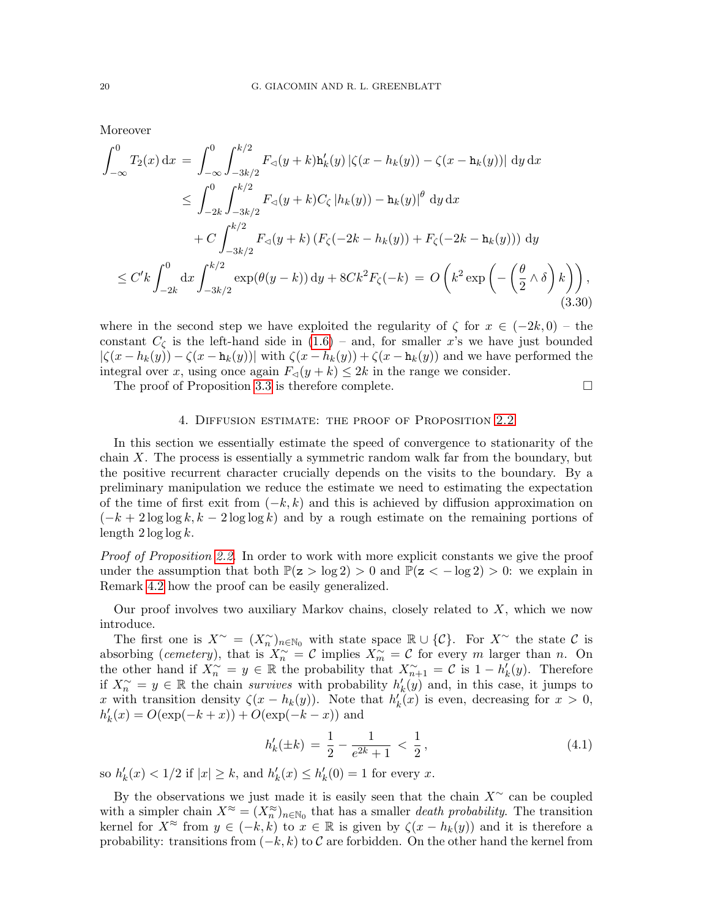Moreover

$$
\int_{-\infty}^{0} T_2(x) dx = \int_{-\infty}^{0} \int_{-3k/2}^{k/2} F_{\lhd}(y+k) \mathbf{h}'_k(y) |\zeta(x - h_k(y)) - \zeta(x - \mathbf{h}_k(y))| dy dx
$$
  
\n
$$
\leq \int_{-2k}^{0} \int_{-3k/2}^{k/2} F_{\lhd}(y+k) C_{\zeta} |h_k(y)) - \mathbf{h}_k(y)|^{\theta} dy dx
$$
  
\n
$$
+ C \int_{-3k/2}^{k/2} F_{\lhd}(y+k) (F_{\zeta}(-2k - h_k(y)) + F_{\zeta}(-2k - \mathbf{h}_k(y))) dy
$$
  
\n
$$
\leq C' k \int_{-2k}^{0} dx \int_{-3k/2}^{k/2} \exp(\theta(y-k)) dy + 8Ck^2 F_{\zeta}(-k) = O\left(k^2 \exp\left(-\left(\frac{\theta}{2} \wedge \delta\right)k\right)\right),
$$
  
\n(3.30)

where in the second step we have exploited the regularity of  $\zeta$  for  $x \in (-2k, 0)$  – the constant  $C_{\zeta}$  is the left-hand side in  $(1.6)$  – and, for smaller x's we have just bounded  $|\zeta(x-h_k(y))-\zeta(x-h_k(y))|$  with  $\zeta(x-h_k(y))+\zeta(x-h_k(y))$  and we have performed the integral over x, using once again  $F_{\lhd}(y + k) \leq 2k$  in the range we consider.

The proof of Proposition [3.3](#page-16-3) is therefore complete.  $\Box$ 

## 4. Diffusion estimate: the proof of Proposition [2.2](#page-9-1)

<span id="page-19-0"></span>In this section we essentially estimate the speed of convergence to stationarity of the chain  $X$ . The process is essentially a symmetric random walk far from the boundary, but the positive recurrent character crucially depends on the visits to the boundary. By a preliminary manipulation we reduce the estimate we need to estimating the expectation of the time of first exit from  $(-k, k)$  and this is achieved by diffusion approximation on  $(-k + 2 \log \log k, k - 2 \log \log k)$  and by a rough estimate on the remaining portions of length  $2 \log \log k$ .

Proof of Proposition [2.2.](#page-9-1) In order to work with more explicit constants we give the proof under the assumption that both  $\mathbb{P}(z > \log 2) > 0$  and  $\mathbb{P}(z < -\log 2) > 0$ : we explain in Remark [4.2](#page-21-0) how the proof can be easily generalized.

Our proof involves two auxiliary Markov chains, closely related to  $X$ , which we now introduce.

The first one is  $X^{\sim} = (X_n^{\sim})_{n \in \mathbb{N}_0}$  with state space  $\mathbb{R} \cup \{C\}$ . For  $X^{\sim}$  the state C is absorbing (cemetery), that is  $X_n^{\sim} = \mathcal{C}$  implies  $X_m^{\sim} = \mathcal{C}$  for every m larger than n. On the other hand if  $\overline{X}_n^{\sim} = y \in \mathbb{R}$  the probability that  $X_{n+1}^{\sim} = \mathcal{C}$  is  $1 - h_k(y)$ . Therefore if  $X_n^{\sim} = y \in \mathbb{R}$  the chain survives with probability  $h'_k(y)$  and, in this case, it jumps to x with transition density  $\zeta(x-h_k(y))$ . Note that  $h'_k(x)$  is even, decreasing for  $x > 0$ ,  $h'_k(x) = O(\exp(-k+x)) + O(\exp(-k-x))$  and

$$
h'_k(\pm k) = \frac{1}{2} - \frac{1}{e^{2k} + 1} < \frac{1}{2},\tag{4.1}
$$

so  $h'_k(x) < 1/2$  if  $|x| \ge k$ , and  $h'_k(x) \le h'_k(0) = 1$  for every x.

By the observations we just made it is easily seen that the chain  $X^{\sim}$  can be coupled with a simpler chain  $X^{\approx} = (X_n^{\approx})_{n \in \mathbb{N}_0}$  that has a smaller *death probability*. The transition kernel for  $X^{\approx}$  from  $y \in (-k, k)$  to  $x \in \mathbb{R}$  is given by  $\zeta(x - h_k(y))$  and it is therefore a probability: transitions from  $(-k, k)$  to C are forbidden. On the other hand the kernel from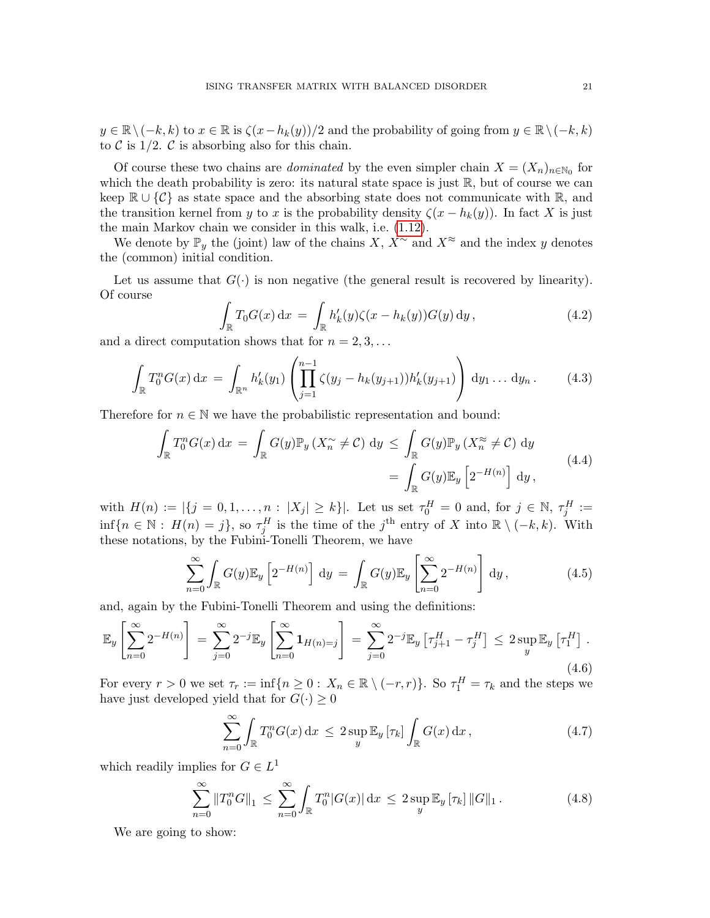$y \in \mathbb{R} \setminus (-k, k)$  to  $x \in \mathbb{R}$  is  $\zeta(x-h_k(y))/2$  and the probability of going from  $y \in \mathbb{R} \setminus (-k, k)$ to  $\mathcal C$  is 1/2.  $\mathcal C$  is absorbing also for this chain.

Of course these two chains are *dominated* by the even simpler chain  $X = (X_n)_{n \in \mathbb{N}_0}$  for which the death probability is zero: its natural state space is just  $\mathbb{R}$ , but of course we can keep  $\mathbb{R} \cup \{ \mathcal{C} \}$  as state space and the absorbing state does not communicate with  $\mathbb{R}$ , and the transition kernel from y to x is the probability density  $\zeta(x - h_k(y))$ . In fact X is just the main Markov chain we consider in this walk, i.e. [\(1.12\)](#page-4-3).

We denote by  $\mathbb{P}_y$  the (joint) law of the chains X,  $X^{\sim}$  and  $X^{\approx}$  and the index y denotes the (common) initial condition.

Let us assume that  $G(\cdot)$  is non negative (the general result is recovered by linearity). Of course

$$
\int_{\mathbb{R}} T_0 G(x) dx = \int_{\mathbb{R}} h'_k(y) \zeta(x - h_k(y)) G(y) dy,
$$
\n(4.2)

and a direct computation shows that for  $n = 2, 3, \ldots$ 

$$
\int_{\mathbb{R}} T_0^n G(x) dx = \int_{\mathbb{R}^n} h'_k(y_1) \left( \prod_{j=1}^{n-1} \zeta(y_j - h_k(y_{j+1})) h'_k(y_{j+1}) \right) dy_1 \dots dy_n.
$$
 (4.3)

Therefore for  $n \in \mathbb{N}$  we have the probabilistic representation and bound:

$$
\int_{\mathbb{R}} T_0^n G(x) dx = \int_{\mathbb{R}} G(y) \mathbb{P}_y \left( X_n \times \mathcal{L} \right) dy \leq \int_{\mathbb{R}} G(y) \mathbb{P}_y \left( X_n \times \mathcal{L} \right) dy
$$
\n
$$
= \int_{\mathbb{R}} G(y) \mathbb{E}_y \left[ 2^{-H(n)} \right] dy,
$$
\n(4.4)

with  $H(n) := |\{j = 0, 1, ..., n : |X_j| \ge k\}|$ . Let us set  $\tau_0^H = 0$  and, for  $j \in \mathbb{N}$ ,  $\tau_j^H :=$  $\inf\{n \in \mathbb{N} : H(n) = j\},\$  so  $\tau_j^H$  is the time of the j<sup>th</sup> entry of X into  $\mathbb{R} \setminus (-k,k)$ . With these notations, by the Fubini-Tonelli Theorem, we have

$$
\sum_{n=0}^{\infty} \int_{\mathbb{R}} G(y) \mathbb{E}_y \left[ 2^{-H(n)} \right] dy = \int_{\mathbb{R}} G(y) \mathbb{E}_y \left[ \sum_{n=0}^{\infty} 2^{-H(n)} \right] dy,
$$
\n(4.5)

and, again by the Fubini-Tonelli Theorem and using the definitions:

$$
\mathbb{E}_{y} \left[ \sum_{n=0}^{\infty} 2^{-H(n)} \right] = \sum_{j=0}^{\infty} 2^{-j} \mathbb{E}_{y} \left[ \sum_{n=0}^{\infty} \mathbf{1}_{H(n)=j} \right] = \sum_{j=0}^{\infty} 2^{-j} \mathbb{E}_{y} \left[ \tau_{j+1}^{H} - \tau_{j}^{H} \right] \le 2 \sup_{y} \mathbb{E}_{y} \left[ \tau_{1}^{H} \right].
$$
\n(4.6)

For every  $r > 0$  we set  $\tau_r := \inf\{n \geq 0 : X_n \in \mathbb{R} \setminus (-r, r)\}\$ . So  $\tau_1^H = \tau_k$  and the steps we have just developed yield that for  $G(\cdot) \geq 0$ 

$$
\sum_{n=0}^{\infty} \int_{\mathbb{R}} T_0^n G(x) dx \le 2 \sup_y \mathbb{E}_y [\tau_k] \int_{\mathbb{R}} G(x) dx,
$$
\n(4.7)

which readily implies for  $G \in L^1$ 

<span id="page-20-0"></span>
$$
\sum_{n=0}^{\infty} \|T_0^n G\|_1 \le \sum_{n=0}^{\infty} \int_{\mathbb{R}} T_0^n |G(x)| \, \mathrm{d}x \le 2 \sup_y \mathbb{E}_y [\tau_k] \|G\|_1. \tag{4.8}
$$

We are going to show: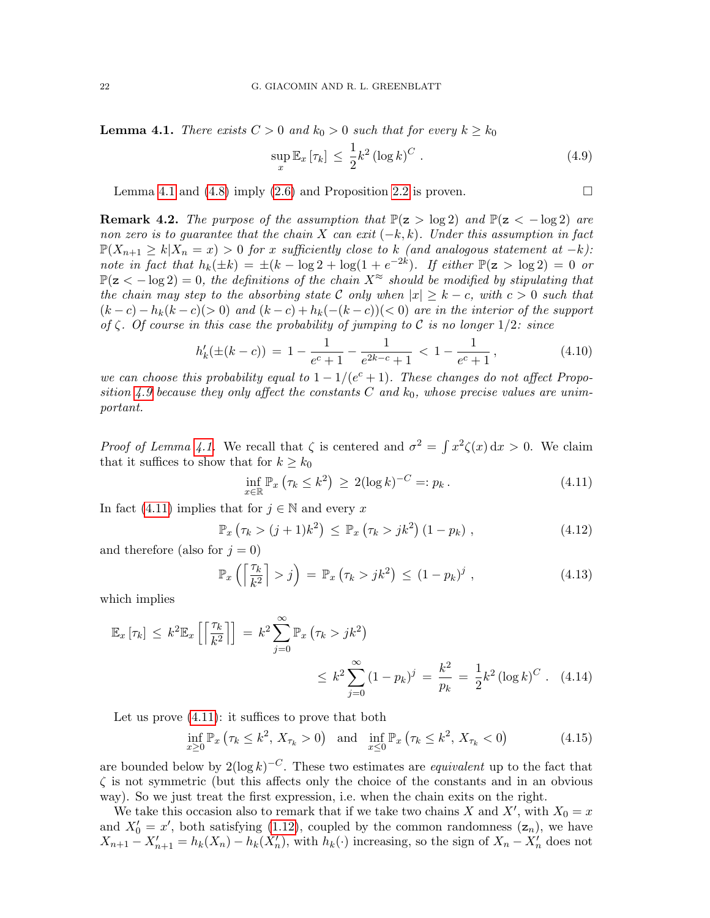<span id="page-21-1"></span>**Lemma 4.1.** There exists  $C > 0$  and  $k_0 > 0$  such that for every  $k \geq k_0$ 

<span id="page-21-2"></span>
$$
\sup_{x} \mathbb{E}_{x} \left[ \tau_{k} \right] \leq \frac{1}{2} k^{2} \left( \log k \right)^{C} . \tag{4.9}
$$

Lemma [4.1](#page-21-1) and [\(4.8\)](#page-20-0) imply [\(2.6\)](#page-9-3) and Proposition [2.2](#page-9-1) is proven.  $\Box$ 

<span id="page-21-0"></span>**Remark 4.2.** The purpose of the assumption that  $\mathbb{P}(z > log 2)$  and  $\mathbb{P}(z < -log 2)$  are non zero is to quarantee that the chain X can exit  $(-k, k)$ . Under this assumption in fact  $\mathbb{P}(X_{n+1} \geq k | X_n = x) > 0$  for x sufficiently close to k (and analogous statement at  $-k$ ): note in fact that  $h_k(\pm k) = \pm (k - \log 2 + \log(1 + e^{-2k}).$  If either  $\mathbb{P}(\mathbf{z} > \log 2) = 0$  or  $\mathbb{P}(z < -\log 2) = 0$ , the definitions of the chain  $X^{\approx}$  should be modified by stipulating that the chain may step to the absorbing state C only when  $|x| \geq k - c$ , with  $c > 0$  such that  $(k-c) - h_k(k-c)$  and  $(k-c) + h_k(-(k-c))$  are in the interior of the support of  $\zeta$ . Of course in this case the probability of jumping to C is no longer  $1/2$ : since

$$
h'_k(\pm (k-c)) = 1 - \frac{1}{e^c + 1} - \frac{1}{e^{2k-c} + 1} < 1 - \frac{1}{e^c + 1},\tag{4.10}
$$

we can choose this probability equal to  $1 - 1/(e^{c} + 1)$ . These changes do not affect Propo-sition [4.9](#page-21-2) because they only affect the constants  $C$  and  $k_0$ , whose precise values are unimportant.

*Proof of Lemma [4.1.](#page-21-1)* We recall that  $\zeta$  is centered and  $\sigma^2 = \int x^2 \zeta(x) dx > 0$ . We claim that it suffices to show that for  $k \geq k_0$ 

<span id="page-21-3"></span>
$$
\inf_{x \in \mathbb{R}} \mathbb{P}_x \left( \tau_k \le k^2 \right) \ge 2(\log k)^{-C} =: p_k. \tag{4.11}
$$

In fact [\(4.11\)](#page-21-3) implies that for  $j \in \mathbb{N}$  and every x

$$
\mathbb{P}_x\left(\tau_k > (j+1)k^2\right) \le \mathbb{P}_x\left(\tau_k > jk^2\right) (1 - p_k) \tag{4.12}
$$

and therefore (also for  $j = 0$ )

$$
\mathbb{P}_x\left(\left\lceil \frac{\tau_k}{k^2} \right\rceil > j\right) = \mathbb{P}_x\left(\tau_k > jk^2\right) \le (1 - p_k)^j \,,\tag{4.13}
$$

which implies

$$
\mathbb{E}_x [\tau_k] \le k^2 \mathbb{E}_x \left[ \left[ \frac{\tau_k}{k^2} \right] \right] = k^2 \sum_{j=0}^{\infty} \mathbb{P}_x (\tau_k > jk^2) \n\le k^2 \sum_{j=0}^{\infty} (1 - p_k)^j = \frac{k^2}{p_k} = \frac{1}{2} k^2 (\log k)^C.
$$
 (4.14)

Let us prove  $(4.11)$ : it suffices to prove that both

$$
\inf_{x \ge 0} \mathbb{P}_x \left( \tau_k \le k^2, X_{\tau_k} > 0 \right) \text{ and } \inf_{x \le 0} \mathbb{P}_x \left( \tau_k \le k^2, X_{\tau_k} < 0 \right) \tag{4.15}
$$

are bounded below by  $2(\log k)^{-C}$ . These two estimates are *equivalent* up to the fact that  $\zeta$  is not symmetric (but this affects only the choice of the constants and in an obvious way). So we just treat the first expression, i.e. when the chain exits on the right.

We take this occasion also to remark that if we take two chains X and X', with  $X_0 = x$ and  $X'_0 = x'$ , both satisfying [\(1.12\)](#page-4-3), coupled by the common randomness  $(z_n)$ , we have  $X_{n+1} - X'_{n+1} = h_k(X_n) - h_k(X'_n)$ , with  $h_k(\cdot)$  increasing, so the sign of  $X_n - X'_n$  does not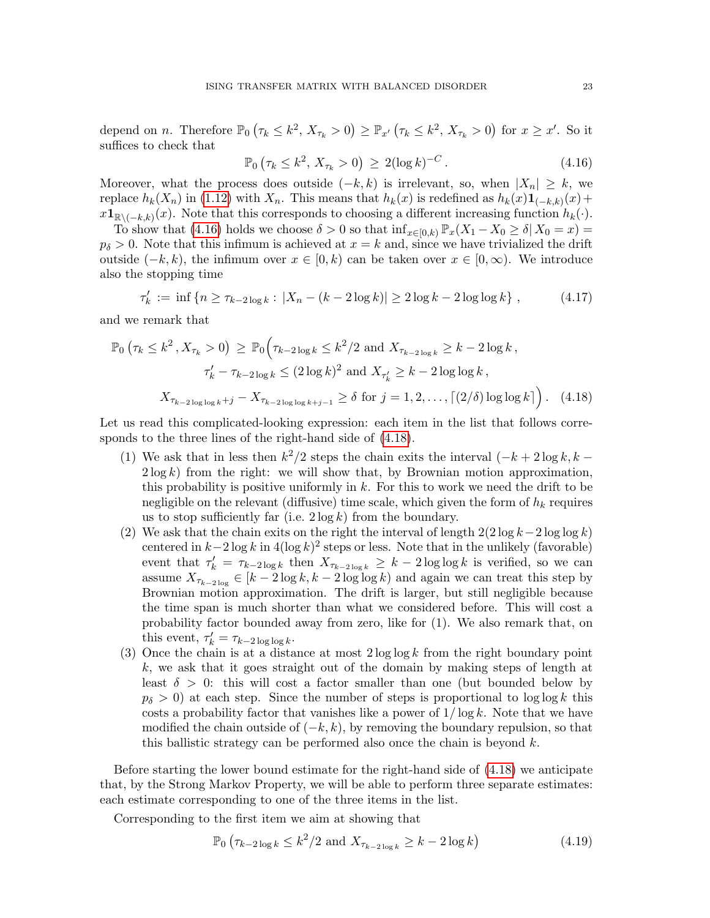depend on *n*. Therefore  $\mathbb{P}_0(\tau_k \leq k^2, X_{\tau_k} > 0) \geq \mathbb{P}_{x'}(\tau_k \leq k^2, X_{\tau_k} > 0)$  for  $x \geq x'$ . So it suffices to check that

<span id="page-22-1"></span><span id="page-22-0"></span>
$$
\mathbb{P}_0(\tau_k \le k^2, X_{\tau_k} > 0) \ge 2(\log k)^{-C}.
$$
 (4.16)

Moreover, what the process does outside  $(-k, k)$  is irrelevant, so, when  $|X_n| \geq k$ , we replace  $h_k(X_n)$  in [\(1.12\)](#page-4-3) with  $X_n$ . This means that  $h_k(x)$  is redefined as  $h_k(x) \mathbf{1}_{(-k,k)}(x)$  +  $x\mathbf{1}_{\mathbb{R}\setminus(-k,k)}(x)$ . Note that this corresponds to choosing a different increasing function  $h_k(\cdot)$ .

To show that [\(4.16\)](#page-22-0) holds we choose  $\delta > 0$  so that  $\inf_{x \in [0,k]} \mathbb{P}_x(X_1 - X_0 \ge \delta | X_0 = x)$  $p_{\delta} > 0$ . Note that this infimum is achieved at  $x = k$  and, since we have trivialized the drift outside  $(-k, k)$ , the infimum over  $x \in [0, k)$  can be taken over  $x \in [0, \infty)$ . We introduce also the stopping time

$$
\tau'_k := \inf \left\{ n \ge \tau_{k-2\log k} : |X_n - (k - 2\log k)| \ge 2\log k - 2\log \log k \right\},\tag{4.17}
$$

and we remark that

$$
\mathbb{P}_0\left(\tau_k \le k^2, X_{\tau_k} > 0\right) \ge \mathbb{P}_0\left(\tau_{k-2\log k} \le k^2/2 \text{ and } X_{\tau_{k-2\log k}} \ge k - 2\log k, \tau'_k - \tau_{k-2\log k} \le (2\log k)^2 \text{ and } X_{\tau'_k} \ge k - 2\log \log k, \right.
$$
  

$$
X_{\tau_{k-2\log \log k}+j} - X_{\tau_{k-2\log \log k+j-1}} \ge \delta \text{ for } j = 1, 2, \dots, \lceil (2/\delta) \log \log k \rceil\right). \tag{4.18}
$$

Let us read this complicated-looking expression: each item in the list that follows corresponds to the three lines of the right-hand side of [\(4.18\)](#page-22-1).

- (1) We ask that in less then  $k^2/2$  steps the chain exits the interval  $(-k+2\log k, k-1)$  $2 \log k$ ) from the right: we will show that, by Brownian motion approximation, this probability is positive uniformly in  $k$ . For this to work we need the drift to be negligible on the relevant (diffusive) time scale, which given the form of  $h_k$  requires us to stop sufficiently far (i.e.  $2 \log k$ ) from the boundary.
- (2) We ask that the chain exits on the right the interval of length  $2(2 \log k 2 \log \log k)$ centered in  $k-2\log k$  in  $4(\log k)^2$  steps or less. Note that in the unlikely (favorable) event that  $\tau'_k = \tau_{k-2 \log k}$  then  $X_{\tau_{k-2 \log k}} \geq k-2 \log \log k$  is verified, so we can assume  $X_{\tau_{k-2\log}} \in [k-2\log k, k-2\log \log k)$  and again we can treat this step by Brownian motion approximation. The drift is larger, but still negligible because the time span is much shorter than what we considered before. This will cost a probability factor bounded away from zero, like for (1). We also remark that, on this event,  $\tau'_{k} = \tau_{k-2 \log \log k}$ .
- (3) Once the chain is at a distance at most  $2 \log \log k$  from the right boundary point k, we ask that it goes straight out of the domain by making steps of length at least  $\delta > 0$ : this will cost a factor smaller than one (but bounded below by  $p_{\delta} > 0$ ) at each step. Since the number of steps is proportional to log log k this costs a probability factor that vanishes like a power of  $1/\log k$ . Note that we have modified the chain outside of  $(-k, k)$ , by removing the boundary repulsion, so that this ballistic strategy can be performed also once the chain is beyond  $k$ .

Before starting the lower bound estimate for the right-hand side of [\(4.18\)](#page-22-1) we anticipate that, by the Strong Markov Property, we will be able to perform three separate estimates: each estimate corresponding to one of the three items in the list.

Corresponding to the first item we aim at showing that

$$
\mathbb{P}_0\left(\tau_{k-2\log k} \le k^2/2 \text{ and } X_{\tau_{k-2\log k}} \ge k - 2\log k\right) \tag{4.19}
$$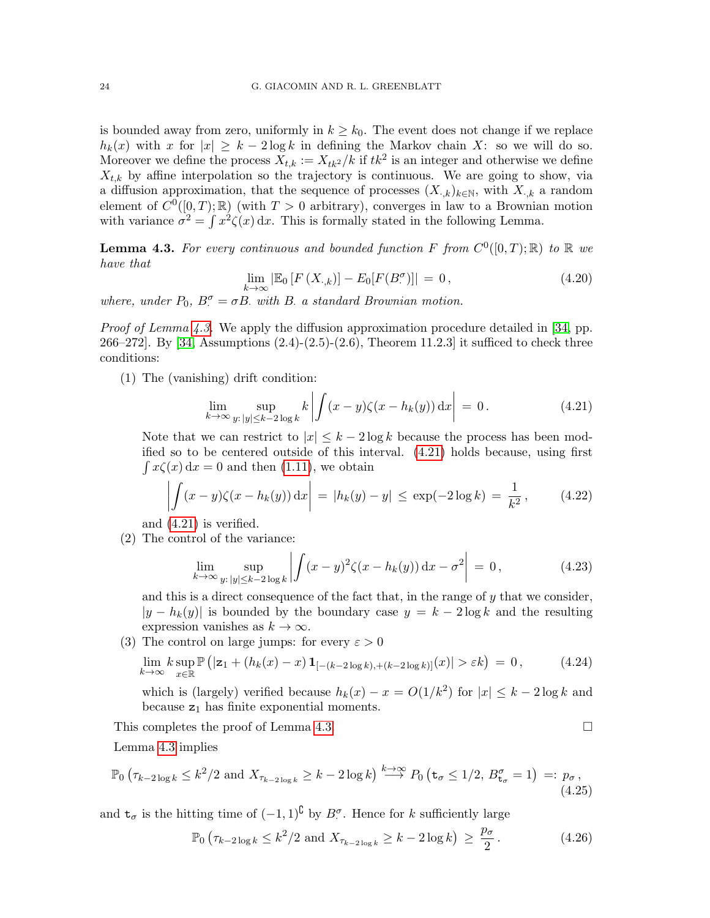is bounded away from zero, uniformly in  $k \geq k_0$ . The event does not change if we replace  $h_k(x)$  with x for  $|x| \geq k-2 \log k$  in defining the Markov chain X: so we will do so. Moreover we define the process  $X_{t,k} := X_{tk^2}/k$  if  $tk^2$  is an integer and otherwise we define  $X_{t,k}$  by affine interpolation so the trajectory is continuous. We are going to show, via a diffusion approximation, that the sequence of processes  $(X_{\cdot,k})_{k\in\mathbb{N}}$ , with  $X_{\cdot,k}$  a random element of  $C^0([0,T);\mathbb{R})$  (with  $T > 0$  arbitrary), converges in law to a Brownian motion with variance  $\sigma^2 = \int x^2 \zeta(x) dx$ . This is formally stated in the following Lemma.

<span id="page-23-0"></span>**Lemma 4.3.** For every continuous and bounded function F from  $C^0([0,T);\mathbb{R})$  to  $\mathbb R$  we have that

$$
\lim_{k \to \infty} \left| \mathbb{E}_0 \left[ F \left( X_{\cdot,k} \right) \right] - E_0 \left[ F \left( B_{\cdot}^{\sigma} \right) \right] \right| = 0, \tag{4.20}
$$

where, under  $P_0$ ,  $B_{\cdot}^{\sigma} = \sigma B$ . with B. a standard Brownian motion.

*Proof of Lemma [4.3.](#page-23-0)* We apply the diffusion approximation procedure detailed in [\[34,](#page-28-13) pp. 266–272]. By [\[34,](#page-28-13) Assumptions (2.4)-(2.5)-(2.6), Theorem 11.2.3] it sufficed to check three conditions:

(1) The (vanishing) drift condition:

<span id="page-23-1"></span>
$$
\lim_{k \to \infty} \sup_{y: |y| \le k - 2\log k} k \left| \int (x - y)\zeta(x - h_k(y)) \,dx \right| = 0. \tag{4.21}
$$

Note that we can restrict to  $|x| \leq k - 2 \log k$  because the process has been modified so to be centered outside of this interval. [\(4.21\)](#page-23-1) holds because, using first  $\int x\zeta(x) dx = 0$  and then [\(1.11\)](#page-4-4), we obtain

$$
\left| \int (x - y) \zeta(x - h_k(y)) dx \right| = |h_k(y) - y| \le \exp(-2 \log k) = \frac{1}{k^2}, \quad (4.22)
$$

and [\(4.21\)](#page-23-1) is verified.

(2) The control of the variance:

$$
\lim_{k \to \infty} \sup_{y: \|y\| \le k - 2\log k} \left| \int (x - y)^2 \zeta(x - h_k(y)) \, dx - \sigma^2 \right| = 0, \tag{4.23}
$$

and this is a direct consequence of the fact that, in the range of  $y$  that we consider,  $|y - h_k(y)|$  is bounded by the boundary case  $y = k - 2 \log k$  and the resulting expression vanishes as  $k \to \infty$ .

(3) The control on large jumps: for every  $\varepsilon > 0$ 

$$
\lim_{k \to \infty} k \sup_{x \in \mathbb{R}} \mathbb{P}\left(|\mathbf{z}_1 + (h_k(x) - x) \mathbf{1}_{[-(k-2\log k), + (k-2\log k)]}(x)| > \varepsilon k\right) = 0, \tag{4.24}
$$

which is (largely) verified because  $h_k(x) - x = O(1/k^2)$  for  $|x| \leq k - 2 \log k$  and because  $z_1$  has finite exponential moments.

This completes the proof of Lemma [4.3.](#page-23-0)

Lemma [4.3](#page-23-0) implies

$$
\mathbb{P}_0\left(\tau_{k-2\log k} \le k^2/2 \text{ and } X_{\tau_{k-2\log k}} \ge k - 2\log k\right) \stackrel{k\to\infty}{\longrightarrow} P_0\left(\mathbf{t}_{\sigma} \le 1/2, B_{\mathbf{t}_{\sigma}}^{\sigma} = 1\right) =: p_{\sigma},\tag{4.25}
$$

and  $t_{\sigma}$  is the hitting time of  $(-1,1)^{\complement}$  by  $B^{\sigma}$ . Hence for k sufficiently large

$$
\mathbb{P}_0 \left( \tau_{k-2 \log k} \le k^2 / 2 \text{ and } X_{\tau_{k-2 \log k}} \ge k - 2 \log k \right) \ge \frac{p_\sigma}{2} \,. \tag{4.26}
$$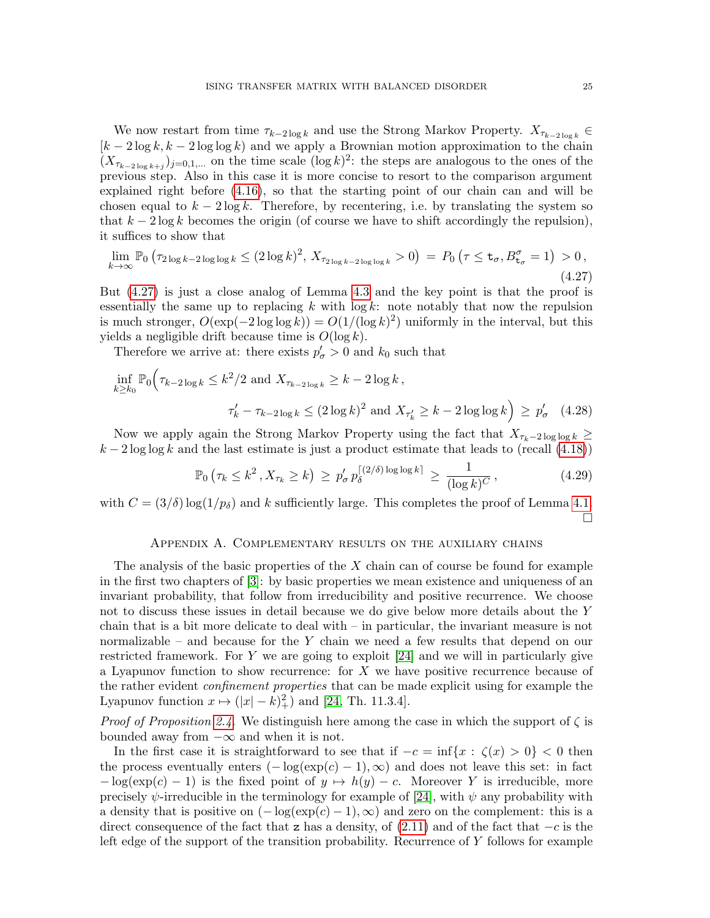We now restart from time  $\tau_{k-2\log k}$  and use the Strong Markov Property.  $X_{\tau_{k-2\log k}} \in$  $[k-2\log k, k-2\log \log k)$  and we apply a Brownian motion approximation to the chain  $(X_{\tau_{k-2\log k+j}})_{j=0,1,...}$  on the time scale  $(\log k)^2$ : the steps are analogous to the ones of the previous step. Also in this case it is more concise to resort to the comparison argument explained right before [\(4.16\)](#page-22-0), so that the starting point of our chain can and will be chosen equal to  $k - 2 \log k$ . Therefore, by recentering, i.e. by translating the system so that  $k - 2 \log k$  becomes the origin (of course we have to shift accordingly the repulsion), it suffices to show that

<span id="page-24-1"></span>
$$
\lim_{k \to \infty} \mathbb{P}_0 \left( \tau_{2\log k - 2\log \log k} \le (2\log k)^2, X_{\tau_{2\log k - 2\log \log k}} > 0 \right) = P_0 \left( \tau \le \mathbf{t}_{\sigma}, B_{\mathbf{t}_{\sigma}}^{\sigma} = 1 \right) > 0,
$$
\n(4.27)

But [\(4.27\)](#page-24-1) is just a close analog of Lemma [4.3](#page-23-0) and the key point is that the proof is essentially the same up to replacing  $k$  with  $\log k$ : note notably that now the repulsion is much stronger,  $O(\exp(-2\log\log k)) = O(1/(\log k)^2)$  uniformly in the interval, but this yields a negligible drift because time is  $O(\log k)$ .

Therefore we arrive at: there exists  $p'_{\sigma} > 0$  and  $k_0$  such that

$$
\inf_{k \ge k_0} \mathbb{P}_0 \Big( \tau_{k-2 \log k} \le k^2 / 2 \text{ and } X_{\tau_{k-2 \log k}} \ge k - 2 \log k ,
$$
\n
$$
\tau'_k - \tau_{k-2 \log k} \le (2 \log k)^2 \text{ and } X_{\tau'_k} \ge k - 2 \log \log k \Big) \ge p'_\sigma \quad (4.28)
$$

Now we apply again the Strong Markov Property using the fact that  $X_{\tau_k-2\log\log k}$  ≥  $k-2\log\log k$  and the last estimate is just a product estimate that leads to (recall [\(4.18\)](#page-22-1))

$$
\mathbb{P}_0\left(\tau_k \le k^2 \,, X_{\tau_k} \ge k\right) \,\ge\, p'_\sigma \, p_\delta^{\lceil (2/\delta)\log\log k\rceil} \,\ge\, \frac{1}{(\log k)^C} \,,\tag{4.29}
$$

with  $C = (3/\delta) \log(1/p_\delta)$  and k sufficiently large. This completes the proof of Lemma [4.1.](#page-21-1)  $\Box$ 

### Appendix A. Complementary results on the auxiliary chains

<span id="page-24-0"></span>The analysis of the basic properties of the  $X$  chain can of course be found for example in the first two chapters of [\[3\]](#page-27-1): by basic properties we mean existence and uniqueness of an invariant probability, that follow from irreducibility and positive recurrence. We choose not to discuss these issues in detail because we do give below more details about the Y chain that is a bit more delicate to deal with – in particular, the invariant measure is not normalizable – and because for the  $Y$  chain we need a few results that depend on our restricted framework. For  $Y$  we are going to exploit [\[24\]](#page-28-14) and we will in particularly give a Lyapunov function to show recurrence: for  $X$  we have positive recurrence because of the rather evident confinement properties that can be made explicit using for example the Lyapunov function  $x \mapsto (|x| - k)_+^2$  and [\[24,](#page-28-14) Th. 11.3.4].

*Proof of Proposition [2.4.](#page-10-1)* We distinguish here among the case in which the support of  $\zeta$  is bounded away from  $-\infty$  and when it is not.

In the first case it is straightforward to see that if  $-c = \inf\{x : \zeta(x) > 0\} < 0$  then the process eventually enters  $(-\log(\exp(c)-1), \infty)$  and does not leave this set: in fact  $-\log(\exp(c) - 1)$  is the fixed point of  $y \mapsto h(y) - c$ . Moreover Y is irreducible, more precisely  $\psi$ -irreducible in the terminology for example of [\[24\]](#page-28-14), with  $\psi$  any probability with a density that is positive on  $(-\log(\exp(c)-1), \infty)$  and zero on the complement: this is a direct consequence of the fact that z has a density, of  $(2.11)$  and of the fact that  $-c$  is the left edge of the support of the transition probability. Recurrence of Y follows for example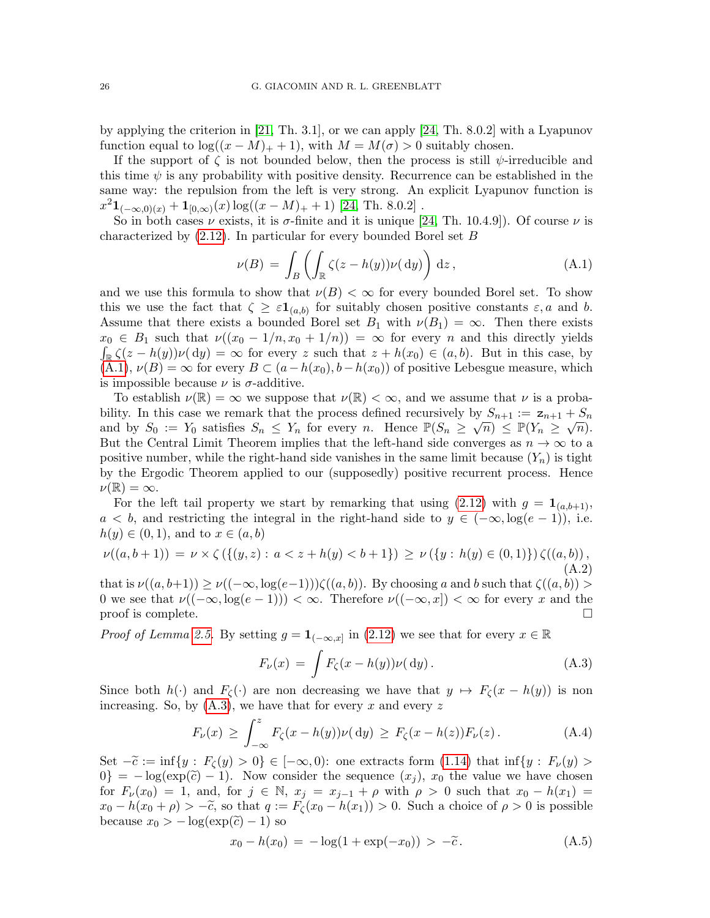by applying the criterion in [\[21,](#page-28-15) Th. 3.1], or we can apply [\[24,](#page-28-14) Th. 8.0.2] with a Lyapunov function equal to  $\log((x-M)_+ + 1)$ , with  $M = M(\sigma) > 0$  suitably chosen.

If the support of  $\zeta$  is not bounded below, then the process is still  $\psi$ -irreducible and this time  $\psi$  is any probability with positive density. Recurrence can be established in the same way: the repulsion from the left is very strong. An explicit Lyapunov function is  $x^2 \mathbf{1}_{(-\infty,0)(x)} + \mathbf{1}_{[0,\infty)}(x) \log((x-M)_+ + 1)$  [\[24,](#page-28-14) Th. 8.0.2].

So in both cases  $\nu$  exists, it is  $\sigma$ -finite and it is unique [\[24,](#page-28-14) Th. 10.4.9]). Of course  $\nu$  is characterized by [\(2.12\)](#page-10-3). In particular for every bounded Borel set B

<span id="page-25-0"></span>
$$
\nu(B) = \int_B \left( \int_{\mathbb{R}} \zeta(z - h(y)) \nu(dy) \right) dz, \tag{A.1}
$$

and we use this formula to show that  $\nu(B) < \infty$  for every bounded Borel set. To show this we use the fact that  $\zeta \geq \varepsilon \mathbf{1}_{(a,b)}$  for suitably chosen positive constants  $\varepsilon, a$  and b. Assume that there exists a bounded Borel set  $B_1$  with  $\nu(B_1) = \infty$ . Then there exists  $x_0 \in B_1$  such that  $\nu((x_0 - 1/n, x_0 + 1/n)) = \infty$  for every n and this directly yields  $\int_{\mathbb{R}} \zeta(z - h(y)) \nu(\mathrm{d}y) = \infty$  for every z such that  $z + h(x_0) \in (a, b)$ . But in this case, by  $(A.1), \nu(B) = \infty$  $(A.1), \nu(B) = \infty$  for every  $B \subset (a - h(x_0), b - h(x_0))$  of positive Lebesgue measure, which is impossible because  $\nu$  is  $\sigma$ -additive.

To establish  $\nu(\mathbb{R}) = \infty$  we suppose that  $\nu(\mathbb{R}) < \infty$ , and we assume that  $\nu$  is a probability. In this case we remark that the process defined recursively by  $S_{n+1} := \mathbf{z}_{n+1} + S_n$ and by  $S_0 := Y_0$  satisfies  $S_n \leq Y_n$  for every n. Hence  $\mathbb{P}(S_n \geq \sqrt{n}) \leq \mathbb{P}(Y_n \geq \sqrt{n}).$ But the Central Limit Theorem implies that the left-hand side converges as  $n \to \infty$  to a positive number, while the right-hand side vanishes in the same limit because  $(Y_n)$  is tight by the Ergodic Theorem applied to our (supposedly) positive recurrent process. Hence  $\nu(\mathbb{R}) = \infty.$ 

For the left tail property we start by remarking that using  $(2.12)$  with  $g = \mathbf{1}_{(a,b+1)}$ ,  $a < b$ , and restricting the integral in the right-hand side to  $y \in (-\infty, \log(e-1))$ , i.e.  $h(y) \in (0,1)$ , and to  $x \in (a, b)$ 

$$
\nu((a, b+1)) = \nu \times \zeta(\{(y, z) : a < z + h(y) < b+1\}) \ge \nu(\{y : h(y) \in (0, 1)\}) \zeta((a, b)),
$$
\n(A.2)

that is  $\nu((a, b+1)) \geq \nu((-\infty, \log(e-1)))\zeta((a, b))$ . By choosing a and b such that  $\zeta((a, b))$ 0 we see that  $\nu((-\infty, \log(e-1))) < \infty$ . Therefore  $\nu((-\infty, x]) < \infty$  for every x and the proof is complete.  $\Box$ 

*Proof of Lemma [2.5.](#page-11-1)* By setting  $g = \mathbf{1}_{(-\infty,x]}$  in [\(2.12\)](#page-10-3) we see that for every  $x \in \mathbb{R}$ 

<span id="page-25-1"></span>
$$
F_{\nu}(x) = \int F_{\zeta}(x - h(y))\nu(\mathrm{d}y). \tag{A.3}
$$

Since both  $h(\cdot)$  and  $F_\zeta(\cdot)$  are non decreasing we have that  $y \mapsto F_\zeta(x - h(y))$  is non increasing. So, by  $(A.3)$ , we have that for every x and every z

<span id="page-25-2"></span>
$$
F_{\nu}(x) \geq \int_{-\infty}^{z} F_{\zeta}(x - h(y)) \nu(dy) \geq F_{\zeta}(x - h(z)) F_{\nu}(z).
$$
 (A.4)

Set  $-\tilde{c} := \inf\{y : F_{\zeta}(y) > 0\} \in [-\infty, 0)$ : one extracts form [\(1.14\)](#page-4-2) that  $\inf\{y : F_{\nu}(y) > 0\}$  $0$ } = -log(exp( $\tilde{c}$ ) – 1). Now consider the sequence  $(x_j)$ ,  $x_0$  the value we have chosen for  $F_{\nu}(x_0) = 1$ , and, for  $j \in \mathbb{N}$ ,  $x_j = x_{j-1} + \rho$  with  $\rho > 0$  such that  $x_0 - h(x_1) =$  $x_0 - h(x_0 + \rho) > -\tilde{c}$ , so that  $q := F_\zeta(x_0 - h(x_1)) > 0$ . Such a choice of  $\rho > 0$  is possible because  $x_0 > -\log(\exp(\tilde{c}) - 1)$  so

$$
x_0 - h(x_0) = -\log(1 + \exp(-x_0)) > -\tilde{c}.
$$
 (A.5)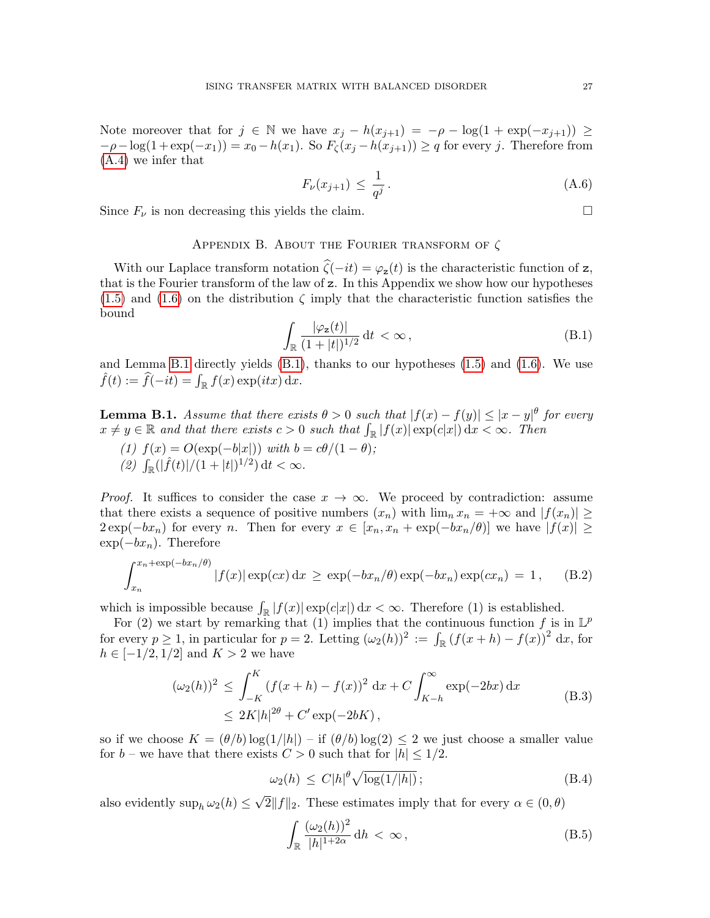Note moreover that for  $j \in \mathbb{N}$  we have  $x_j - h(x_{j+1}) = -\rho - \log(1 + \exp(-x_{j+1})) \ge$  $-\rho - \log(1 + \exp(-x_1)) = x_0 - h(x_1)$ . So  $F_\zeta(x_j - h(x_{j+1})) \geq q$  for every j. Therefore from [\(A.4\)](#page-25-2) we infer that

$$
F_{\nu}(x_{j+1}) \le \frac{1}{q^j} \,. \tag{A.6}
$$

Since  $F_{\nu}$  is non decreasing this yields the claim.

# APPENDIX B. ABOUT THE FOURIER TRANSFORM OF  $\zeta$

With our Laplace transform notation  $\hat{\zeta}(-it) = \varphi_z(t)$  is the characteristic function of z, that is the Fourier transform of the law of z. In this Appendix we show how our hypotheses  $(1.5)$  and  $(1.6)$  on the distribution  $\zeta$  imply that the characteristic function satisfies the bound

<span id="page-26-1"></span>
$$
\int_{\mathbb{R}} \frac{|\varphi_{\mathbf{z}}(t)|}{(1+|t|)^{1/2}} \, \mathrm{d}t < \infty \,, \tag{B.1}
$$

and Lemma [B.1](#page-26-0) directly yields [\(B.1\)](#page-26-1), thanks to our hypotheses [\(1.5\)](#page-2-3) and [\(1.6\)](#page-2-2). We use  $\hat{f}(t) := \hat{f}(-it) = \int_{\mathbb{R}} f(x) \exp(itx) dx.$ 

<span id="page-26-0"></span>**Lemma B.1.** Assume that there exists  $\theta > 0$  such that  $|f(x) - f(y)| \le |x - y|^{\theta}$  for every  $x \neq y \in \mathbb{R}$  and that there exists  $c > 0$  such that  $\int_{\mathbb{R}} |f(x)| \exp(c|x|) dx < \infty$ . Then

(1)  $f(x) = O(\exp(-b|x|))$  with  $b = c\theta/(1-\theta);$ (2)  $\int_{\mathbb{R}}(|\hat{f}(t)|/(1+|t|)^{1/2}) dt < \infty$ .

*Proof.* It suffices to consider the case  $x \to \infty$ . We proceed by contradiction: assume that there exists a sequence of positive numbers  $(x_n)$  with  $\lim_n x_n = +\infty$  and  $|f(x_n)| \ge$  $2 \exp(-bx_n)$  for every n. Then for every  $x \in [x_n, x_n + \exp(-bx_n/\theta)]$  we have  $|f(x)| \ge$  $\exp(-bx_n)$ . Therefore

$$
\int_{x_n}^{x_n+\exp(-bx_n/\theta)} |f(x)| \exp(cx) dx \ge \exp(-bx_n/\theta) \exp(-bx_n) \exp(cx_n) = 1, \quad (B.2)
$$

which is impossible because  $\int_{\mathbb{R}} |f(x)| \exp(c|x|) dx < \infty$ . Therefore (1) is established.

For (2) we start by remarking that (1) implies that the continuous function f is in  $\mathbb{L}^p$ for every  $p \ge 1$ , in particular for  $p = 2$ . Letting  $(\omega_2(h))^2 := \int_{\mathbb{R}} (f(x+h) - f(x))^2 dx$ , for  $h \in [-1/2, 1/2]$  and  $K > 2$  we have

$$
(\omega_2(h))^2 \le \int_{-K}^{K} (f(x+h) - f(x))^2 dx + C \int_{K-h}^{\infty} \exp(-2bx) dx
$$
  
 
$$
\le 2K|h|^{2\theta} + C' \exp(-2bK),
$$
 (B.3)

so if we choose  $K = (\theta/b) \log(1/|h|) - i f(\theta/b) \log(2) \leq 2$  we just choose a smaller value for  $b$  – we have that there exists  $C > 0$  such that for  $|h| \leq 1/2$ .

$$
\omega_2(h) \le C|h|^{\theta} \sqrt{\log(1/|h|)}\,,\tag{B.4}
$$

also evidently  $\sup_h \omega_2(h) \leq$ √  $2||f||_2$ . These estimates imply that for every  $\alpha \in (0, \theta)$ 

$$
\int_{\mathbb{R}} \frac{(\omega_2(h))^2}{|h|^{1+2\alpha}} dh < \infty,\tag{B.5}
$$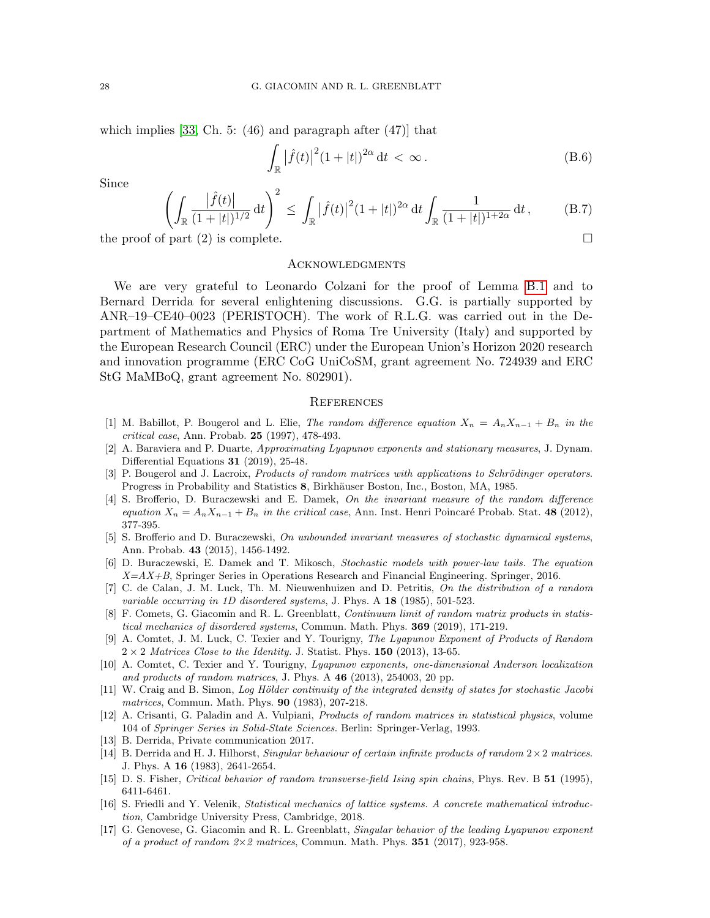which implies  $[33, Ch. 5: (46)$  and paragraph after  $(47)$  that

$$
\int_{\mathbb{R}} |\hat{f}(t)|^2 (1+|t|)^{2\alpha} dt < \infty.
$$
 (B.6)

Since

$$
\left(\int_{\mathbb{R}}\frac{|\hat{f}(t)|}{(1+|t|)^{1/2}}\,\mathrm{d}t\right)^2 \le \int_{\mathbb{R}}|\hat{f}(t)|^2(1+|t|)^{2\alpha}\,\mathrm{d}t \int_{\mathbb{R}}\frac{1}{(1+|t|)^{1+2\alpha}}\,\mathrm{d}t\,,\tag{B.7}
$$

the proof of part  $(2)$  is complete.

### **ACKNOWLEDGMENTS**

We are very grateful to Leonardo Colzani for the proof of Lemma [B.1](#page-26-0) and to Bernard Derrida for several enlightening discussions. G.G. is partially supported by ANR–19–CE40–0023 (PERISTOCH). The work of R.L.G. was carried out in the Department of Mathematics and Physics of Roma Tre University (Italy) and supported by the European Research Council (ERC) under the European Union's Horizon 2020 research and innovation programme (ERC CoG UniCoSM, grant agreement No. 724939 and ERC StG MaMBoQ, grant agreement No. 802901).

### **REFERENCES**

- <span id="page-27-7"></span>[1] M. Babillot, P. Bougerol and L. Elie, The random difference equation  $X_n = A_n X_{n-1} + B_n$  in the critical case, Ann. Probab. 25 (1997), 478-493.
- <span id="page-27-6"></span>[2] A. Baraviera and P. Duarte, Approximating Lyapunov exponents and stationary measures, J. Dynam. Differential Equations 31 (2019), 25-48.
- <span id="page-27-1"></span>[3] P. Bougerol and J. Lacroix, Products of random matrices with applications to Schrödinger operators. Progress in Probability and Statistics 8, Birkhäuser Boston, Inc., Boston, MA, 1985.
- <span id="page-27-8"></span>[4] S. Brofferio, D. Buraczewski and E. Damek, On the invariant measure of the random difference equation  $X_n = A_n X_{n-1} + B_n$  in the critical case, Ann. Inst. Henri Poincaré Probab. Stat. 48 (2012), 377-395.
- [5] S. Brofferio and D. Buraczewski, On unbounded invariant measures of stochastic dynamical systems, Ann. Probab. 43 (2015), 1456-1492.
- <span id="page-27-9"></span>[6] D. Buraczewski, E. Damek and T. Mikosch, Stochastic models with power-law tails. The equation  $X=AX+B$ , Springer Series in Operations Research and Financial Engineering. Springer, 2016.
- <span id="page-27-13"></span>[7] C. de Calan, J. M. Luck, Th. M. Nieuwenhuizen and D. Petritis, On the distribution of a random variable occurring in 1D disordered systems, J. Phys. A 18 (1985), 501-523.
- <span id="page-27-3"></span>[8] F. Comets, G. Giacomin and R. L. Greenblatt, Continuum limit of random matrix products in statistical mechanics of disordered systems, Commun. Math. Phys. 369 (2019), 171-219.
- <span id="page-27-15"></span>[9] A. Comtet, J. M. Luck, C. Texier and Y. Tourigny, The Lyapunov Exponent of Products of Random  $2 \times 2$  Matrices Close to the Identity. J. Statist. Phys. 150 (2013), 13-65.
- <span id="page-27-11"></span>[10] A. Comtet, C. Texier and Y. Tourigny, Lyapunov exponents, one-dimensional Anderson localization and products of random matrices, J. Phys. A  $46$  (2013), 254003, 20 pp.
- <span id="page-27-10"></span>[11] W. Craig and B. Simon, Log Hölder continuity of the integrated density of states for stochastic Jacobi matrices, Commun. Math. Phys. 90 (1983), 207-218.
- <span id="page-27-5"></span>[12] A. Crisanti, G. Paladin and A. Vulpiani, Products of random matrices in statistical physics, volume 104 of Springer Series in Solid-State Sciences. Berlin: Springer-Verlag, 1993.
- <span id="page-27-12"></span>[13] B. Derrida, Private communication 2017.
- <span id="page-27-2"></span>[14] B. Derrida and H. J. Hilhorst, Singular behaviour of certain infinite products of random  $2 \times 2$  matrices. J. Phys. A 16 (1983), 2641-2654.
- <span id="page-27-14"></span>[15] D. S. Fisher, Critical behavior of random transverse-field Ising spin chains, Phys. Rev. B 51 (1995), 6411-6461.
- <span id="page-27-0"></span>[16] S. Friedli and Y. Velenik, Statistical mechanics of lattice systems. A concrete mathematical introduction, Cambridge University Press, Cambridge, 2018.
- <span id="page-27-4"></span>[17] G. Genovese, G. Giacomin and R. L. Greenblatt, Singular behavior of the leading Lyapunov exponent of a product of random  $2\times 2$  matrices, Commun. Math. Phys. **351** (2017), 923-958.